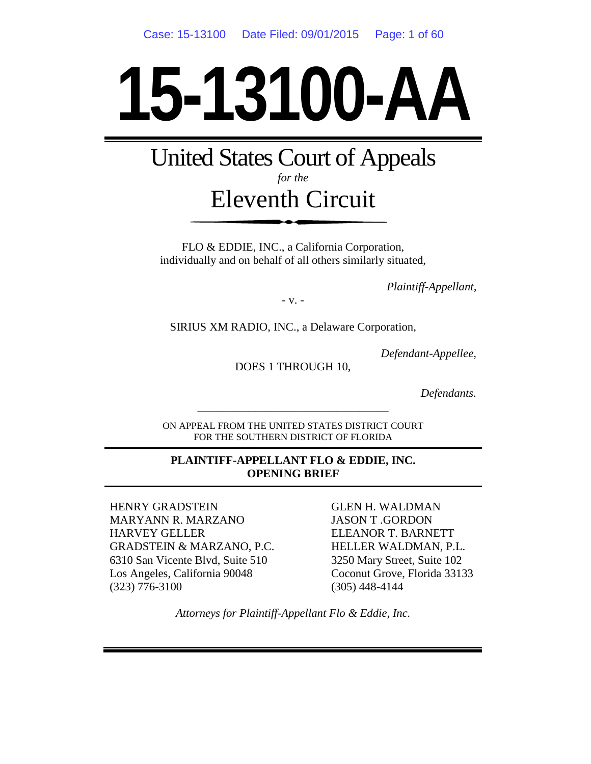# **15-13100-AA**

United States Court of Appeals *for the*

# Eleventh Circuit

FLO & EDDIE, INC., a California Corporation, individually and on behalf of all others similarly situated,

*Plaintiff-Appellant,*

- v. -

SIRIUS XM RADIO, INC., a Delaware Corporation,

*Defendant-Appellee,*

DOES 1 THROUGH 10,

*Defendants.*

ON APPEAL FROM THE UNITED STATES DISTRICT COURT FOR THE SOUTHERN DISTRICT OF FLORIDA

\_\_\_\_\_\_\_\_\_\_\_\_\_\_\_\_\_\_\_\_\_\_\_\_\_\_\_\_\_\_\_\_\_

#### **PLAINTIFF-APPELLANT FLO & EDDIE, INC. OPENING BRIEF**

HENRY GRADSTEIN MARYANN R. MARZANO HARVEY GELLER GRADSTEIN & MARZANO, P.C. 6310 San Vicente Blvd, Suite 510 Los Angeles, California 90048 (323) 776-3100

GLEN H. WALDMAN JASON T .GORDON ELEANOR T. BARNETT HELLER WALDMAN, P.L. 3250 Mary Street, Suite 102 Coconut Grove, Florida 33133 (305) 448-4144

*Attorneys for Plaintiff-Appellant Flo & Eddie, Inc.*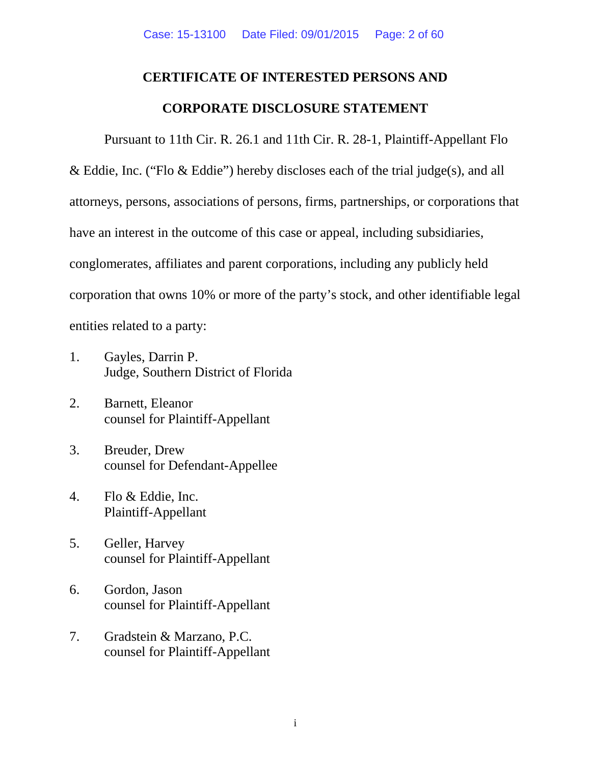# **CERTIFICATE OF INTERESTED PERSONS AND CORPORATE DISCLOSURE STATEMENT**

Pursuant to 11th Cir. R. 26.1 and 11th Cir. R. 28-1, Plaintiff-Appellant Flo & Eddie, Inc. ("Flo & Eddie") hereby discloses each of the trial judge(s), and all attorneys, persons, associations of persons, firms, partnerships, or corporations that have an interest in the outcome of this case or appeal, including subsidiaries, conglomerates, affiliates and parent corporations, including any publicly held corporation that owns 10% or more of the party's stock, and other identifiable legal entities related to a party:

- 1. Gayles, Darrin P. Judge, Southern District of Florida
- 2. Barnett, Eleanor counsel for Plaintiff-Appellant
- 3. Breuder, Drew counsel for Defendant-Appellee
- 4. Flo & Eddie, Inc. Plaintiff-Appellant
- 5. Geller, Harvey counsel for Plaintiff-Appellant
- 6. Gordon, Jason counsel for Plaintiff-Appellant
- 7. Gradstein & Marzano, P.C. counsel for Plaintiff-Appellant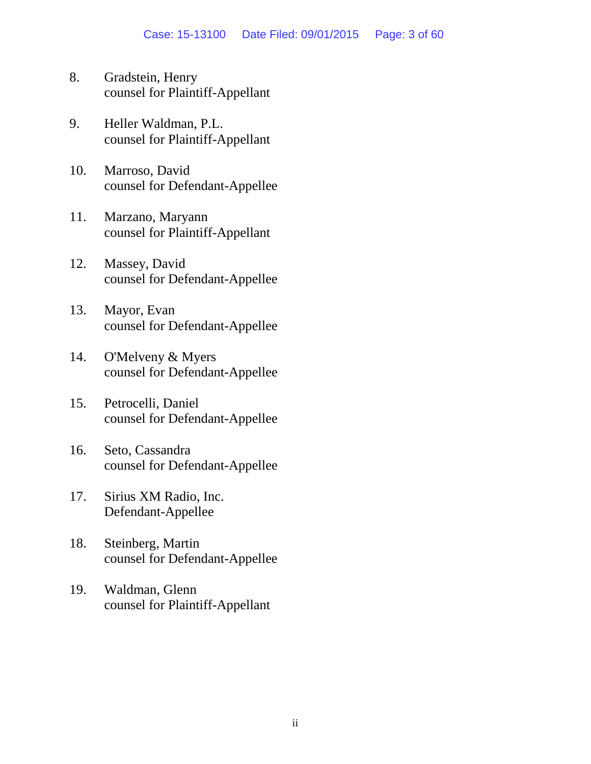- 8. Gradstein, Henry counsel for Plaintiff-Appellant
- 9. Heller Waldman, P.L. counsel for Plaintiff-Appellant
- 10. Marroso, David counsel for Defendant-Appellee
- 11. Marzano, Maryann counsel for Plaintiff-Appellant
- 12. Massey, David counsel for Defendant-Appellee
- 13. Mayor, Evan counsel for Defendant-Appellee
- 14. O'Melveny & Myers counsel for Defendant-Appellee
- 15. Petrocelli, Daniel counsel for Defendant-Appellee
- 16. Seto, Cassandra counsel for Defendant-Appellee
- 17. Sirius XM Radio, Inc. Defendant-Appellee
- 18. Steinberg, Martin counsel for Defendant-Appellee
- 19. Waldman, Glenn counsel for Plaintiff-Appellant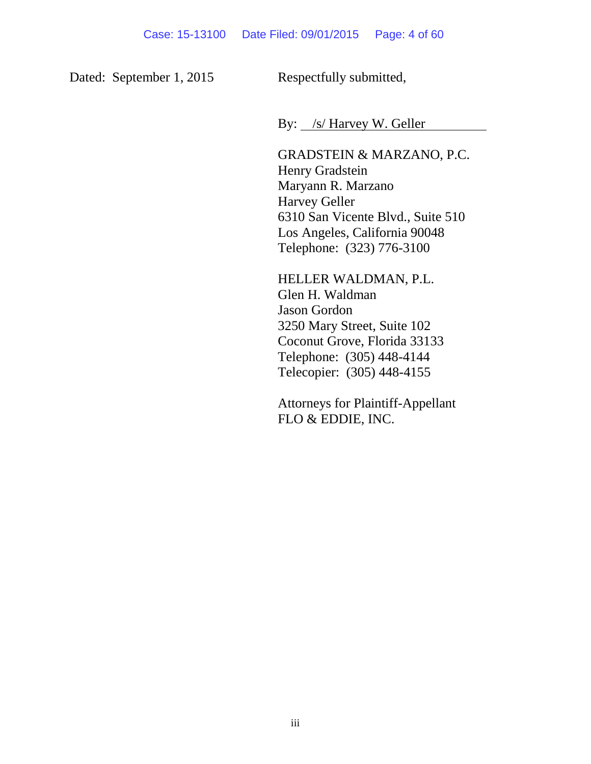Dated: September 1, 2015 Respectfully submitted,

By: /s/ Harvey W. Geller

GRADSTEIN & MARZANO, P.C. Henry Gradstein Maryann R. Marzano Harvey Geller 6310 San Vicente Blvd., Suite 510 Los Angeles, California 90048 Telephone: (323) 776-3100

HELLER WALDMAN, P.L. Glen H. Waldman Jason Gordon 3250 Mary Street, Suite 102 Coconut Grove, Florida 33133 Telephone: (305) 448-4144 Telecopier: (305) 448-4155

Attorneys for Plaintiff-Appellant FLO & EDDIE, INC.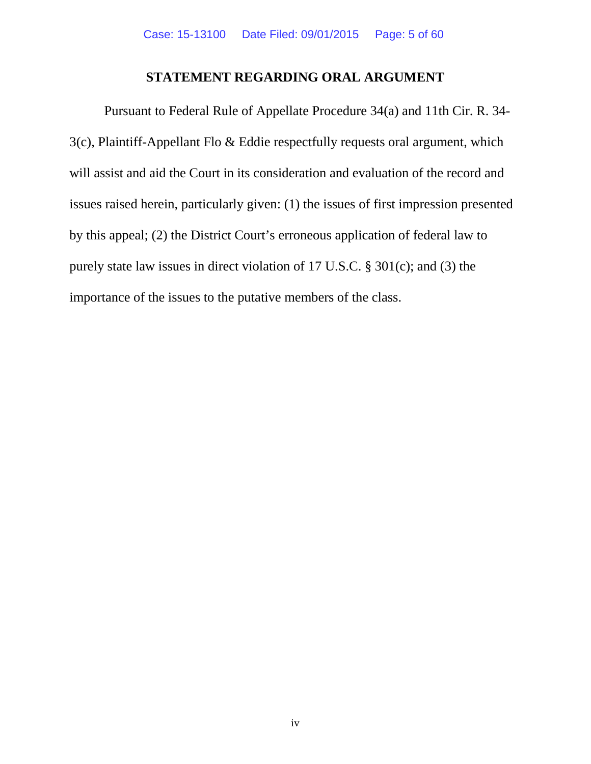#### **STATEMENT REGARDING ORAL ARGUMENT**

Pursuant to Federal Rule of Appellate Procedure 34(a) and 11th Cir. R. 34- 3(c), Plaintiff-Appellant Flo & Eddie respectfully requests oral argument, which will assist and aid the Court in its consideration and evaluation of the record and issues raised herein, particularly given: (1) the issues of first impression presented by this appeal; (2) the District Court's erroneous application of federal law to purely state law issues in direct violation of 17 U.S.C. § 301(c); and (3) the importance of the issues to the putative members of the class.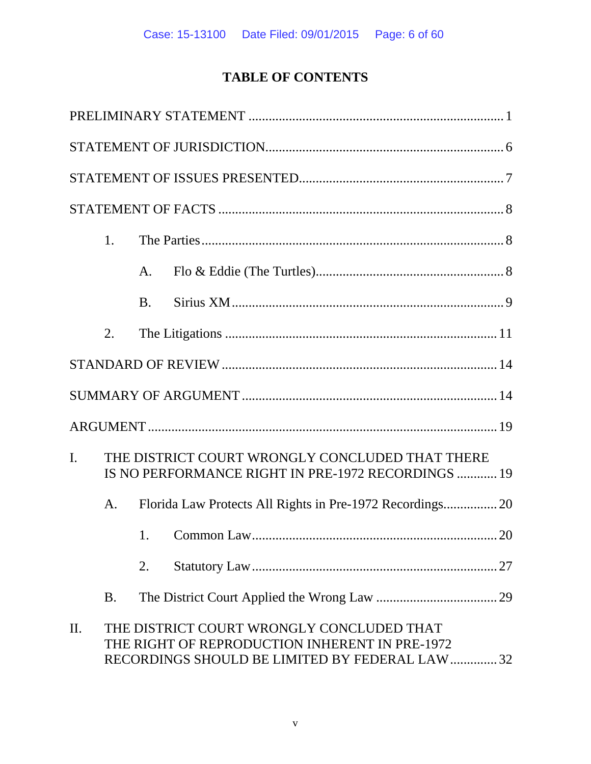# **TABLE OF CONTENTS**

|                | 1.                                                                                                    |           |                                                                                                                                                |  |
|----------------|-------------------------------------------------------------------------------------------------------|-----------|------------------------------------------------------------------------------------------------------------------------------------------------|--|
|                |                                                                                                       | A.        |                                                                                                                                                |  |
|                |                                                                                                       | <b>B.</b> |                                                                                                                                                |  |
|                | 2.                                                                                                    |           |                                                                                                                                                |  |
|                |                                                                                                       |           |                                                                                                                                                |  |
|                |                                                                                                       |           |                                                                                                                                                |  |
|                |                                                                                                       |           |                                                                                                                                                |  |
| $\mathbf{I}$ . | THE DISTRICT COURT WRONGLY CONCLUDED THAT THERE<br>IS NO PERFORMANCE RIGHT IN PRE-1972 RECORDINGS  19 |           |                                                                                                                                                |  |
|                | A.                                                                                                    |           |                                                                                                                                                |  |
|                |                                                                                                       | 1.        |                                                                                                                                                |  |
|                |                                                                                                       | 2.        | 27                                                                                                                                             |  |
|                | <b>B.</b>                                                                                             |           |                                                                                                                                                |  |
| II.            |                                                                                                       |           | THE DISTRICT COURT WRONGLY CONCLUDED THAT<br>THE RIGHT OF REPRODUCTION INHERENT IN PRE-1972<br>RECORDINGS SHOULD BE LIMITED BY FEDERAL LAW  32 |  |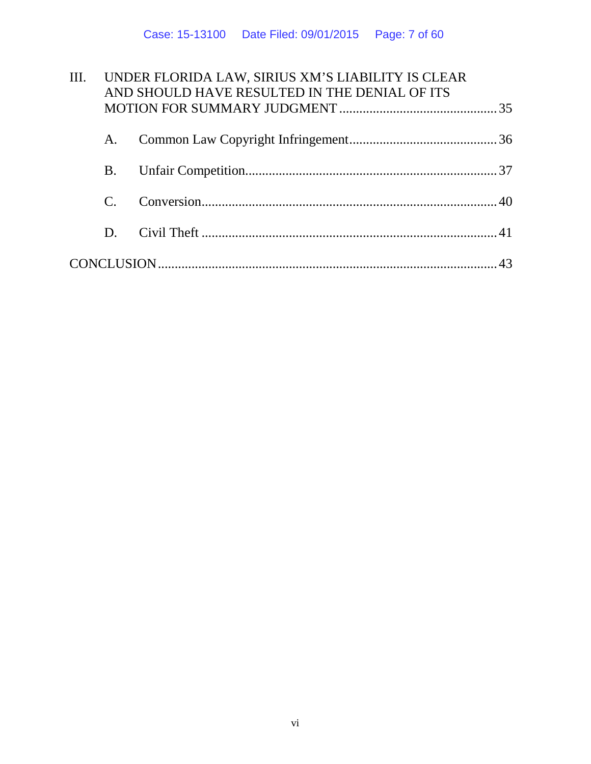| III. | UNDER FLORIDA LAW, SIRIUS XM'S LIABILITY IS CLEAR<br>AND SHOULD HAVE RESULTED IN THE DENIAL OF ITS |  |  |  |
|------|----------------------------------------------------------------------------------------------------|--|--|--|
|      |                                                                                                    |  |  |  |
|      | A.                                                                                                 |  |  |  |
|      | <b>B.</b>                                                                                          |  |  |  |
|      | $\mathcal{C}$                                                                                      |  |  |  |
|      | D.                                                                                                 |  |  |  |
|      |                                                                                                    |  |  |  |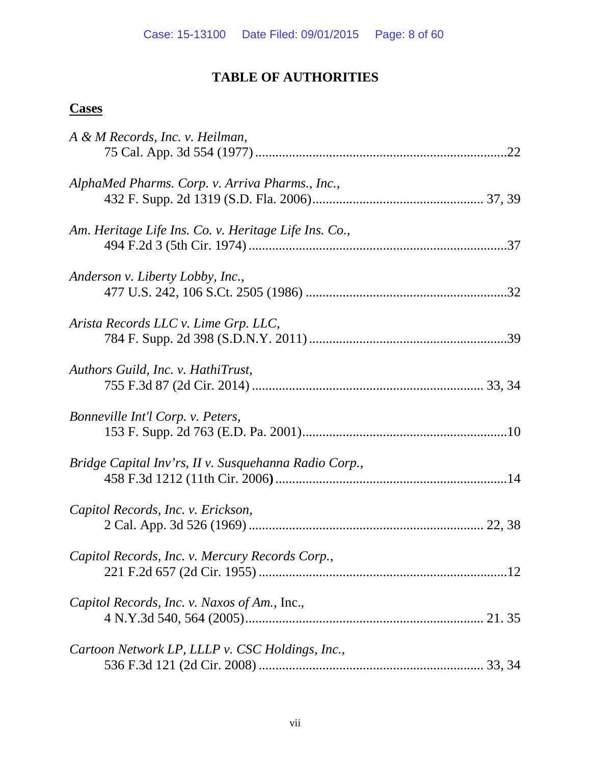## **TABLE OF AUTHORITIES**

## **Cases**

| A & M Records, Inc. v. Heilman,                       |  |
|-------------------------------------------------------|--|
|                                                       |  |
|                                                       |  |
| AlphaMed Pharms. Corp. v. Arriva Pharms., Inc.,       |  |
|                                                       |  |
|                                                       |  |
| Am. Heritage Life Ins. Co. v. Heritage Life Ins. Co., |  |
|                                                       |  |
| Anderson v. Liberty Lobby, Inc.,                      |  |
|                                                       |  |
|                                                       |  |
| Arista Records LLC v. Lime Grp. LLC,                  |  |
|                                                       |  |
|                                                       |  |
| Authors Guild, Inc. v. HathiTrust,                    |  |
|                                                       |  |
|                                                       |  |
| Bonneville Int'l Corp. v. Peters,                     |  |
|                                                       |  |
|                                                       |  |
| Bridge Capital Inv'rs, II v. Susquehanna Radio Corp., |  |
|                                                       |  |
|                                                       |  |
| Capitol Records, Inc. v. Erickson,                    |  |
|                                                       |  |
|                                                       |  |
| Capitol Records, Inc. v. Mercury Records Corp.,       |  |
|                                                       |  |
|                                                       |  |
| Capitol Records, Inc. v. Naxos of Am., Inc.,          |  |
|                                                       |  |
| Cartoon Network LP, LLLP v. CSC Holdings, Inc.,       |  |
|                                                       |  |
|                                                       |  |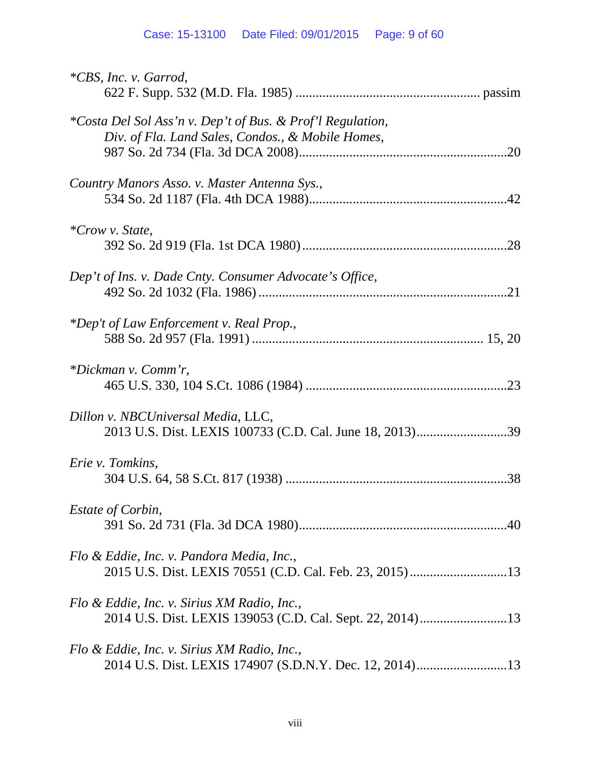## Case: 15-13100 Date Filed: 09/01/2015 Page: 9 of 60

| <i>*CBS, Inc. v. Garrod,</i>                                                                                    |
|-----------------------------------------------------------------------------------------------------------------|
| *Costa Del Sol Ass'n v. Dep't of Bus. & Prof'l Regulation,<br>Div. of Fla. Land Sales, Condos., & Mobile Homes, |
| Country Manors Asso. v. Master Antenna Sys.,                                                                    |
| <i>*Crow v. State,</i>                                                                                          |
| Dep't of Ins. v. Dade Cnty. Consumer Advocate's Office,                                                         |
| *Dep't of Law Enforcement v. Real Prop.,                                                                        |
| *Dickman v. Comm'r,                                                                                             |
| Dillon v. NBCUniversal Media, LLC,<br>2013 U.S. Dist. LEXIS 100733 (C.D. Cal. June 18, 2013)39                  |
| Erie v. Tomkins,                                                                                                |
| Estate of Corbin,                                                                                               |
| Flo & Eddie, Inc. v. Pandora Media, Inc.,                                                                       |
| Flo & Eddie, Inc. v. Sirius XM Radio, Inc.,                                                                     |
| Flo & Eddie, Inc. v. Sirius XM Radio, Inc.,                                                                     |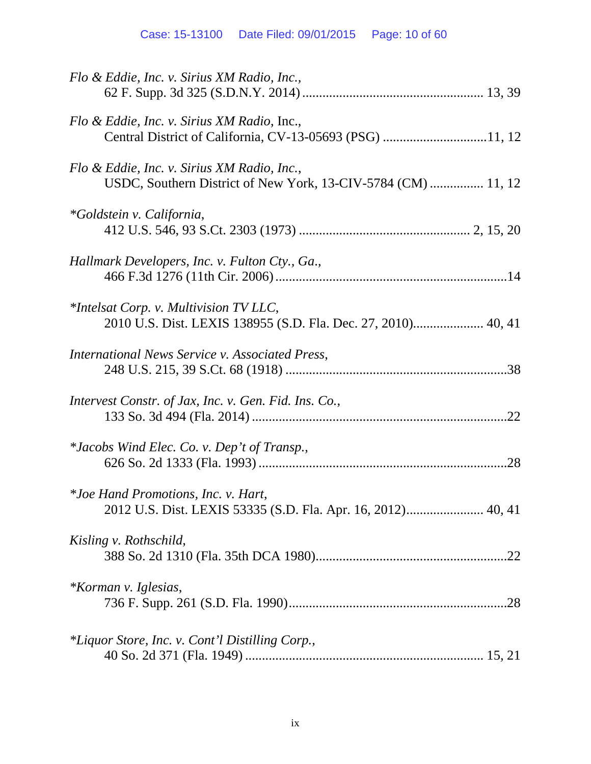| Flo & Eddie, Inc. v. Sirius XM Radio, Inc.,                                                                  |
|--------------------------------------------------------------------------------------------------------------|
| Flo & Eddie, Inc. v. Sirius XM Radio, Inc.,<br>Central District of California, CV-13-05693 (PSG) 11, 12      |
| Flo & Eddie, Inc. v. Sirius XM Radio, Inc.,<br>USDC, Southern District of New York, 13-CIV-5784 (CM)  11, 12 |
| <i>*Goldstein v. California,</i>                                                                             |
| Hallmark Developers, Inc. v. Fulton Cty., Ga.,                                                               |
| $*$ Intelsat Corp. v. Multivision TV LLC,<br>2010 U.S. Dist. LEXIS 138955 (S.D. Fla. Dec. 27, 2010) 40, 41   |
| <i>International News Service v. Associated Press,</i>                                                       |
| Intervest Constr. of Jax, Inc. v. Gen. Fid. Ins. Co.,                                                        |
| <i>*Jacobs Wind Elec. Co. v. Dep't of Transp.,</i>                                                           |
| *Joe Hand Promotions, Inc. v. Hart,                                                                          |
| Kisling v. Rothschild,                                                                                       |
| *Korman v. Iglesias,                                                                                         |
| *Liquor Store, Inc. v. Cont'l Distilling Corp.,                                                              |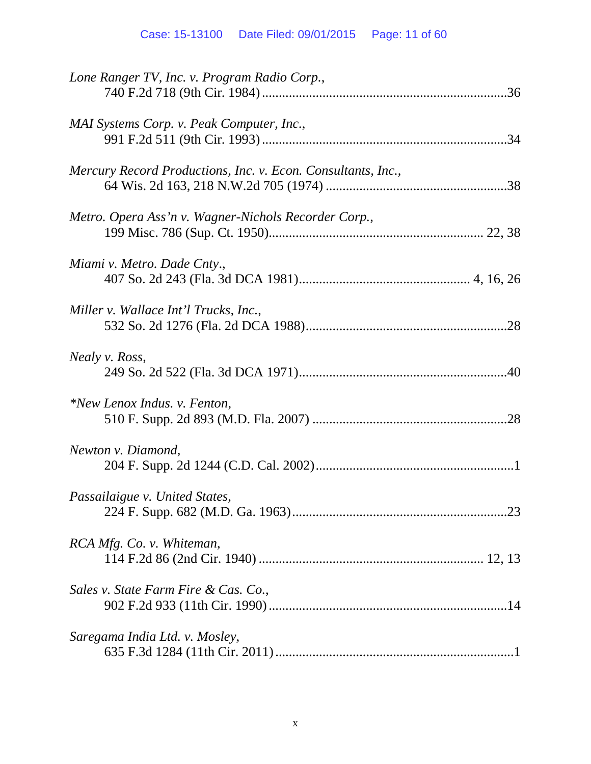| Lone Ranger TV, Inc. v. Program Radio Corp.,                 |
|--------------------------------------------------------------|
| MAI Systems Corp. v. Peak Computer, Inc.,                    |
| Mercury Record Productions, Inc. v. Econ. Consultants, Inc., |
| Metro. Opera Ass'n v. Wagner-Nichols Recorder Corp.,         |
| Miami v. Metro. Dade Cnty.,                                  |
| Miller v. Wallace Int'l Trucks, Inc.,                        |
| <i>Nealy v. Ross,</i>                                        |
| *New Lenox Indus. v. Fenton,                                 |
| Newton v. Diamond,                                           |
| Passailaigue v. United States,                               |
| RCA Mfg. Co. v. Whiteman,                                    |
| Sales v. State Farm Fire & Cas. Co.,                         |
| Saregama India Ltd. v. Mosley,                               |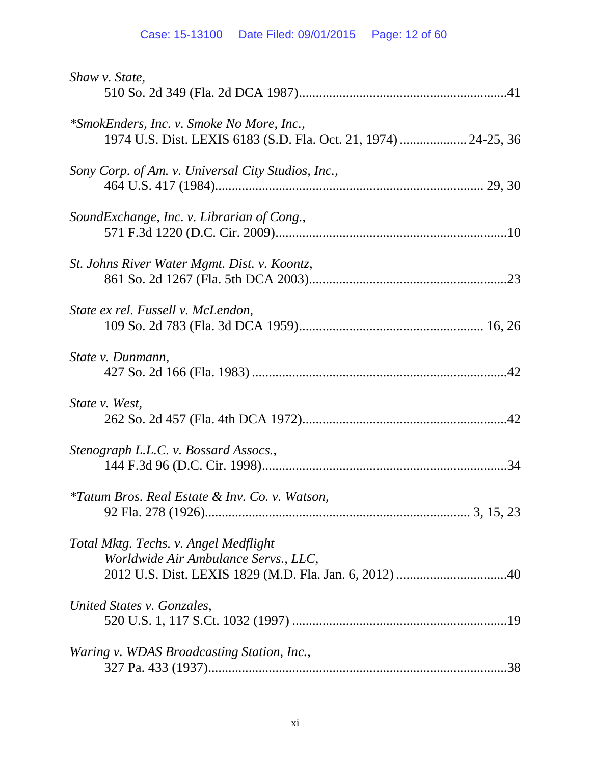| Shaw v. State,                                                                                               |
|--------------------------------------------------------------------------------------------------------------|
| *SmokEnders, Inc. v. Smoke No More, Inc.,<br>1974 U.S. Dist. LEXIS 6183 (S.D. Fla. Oct. 21, 1974)  24-25, 36 |
| Sony Corp. of Am. v. Universal City Studios, Inc.,                                                           |
| SoundExchange, Inc. v. Librarian of Cong.,                                                                   |
| St. Johns River Water Mgmt. Dist. v. Koontz,                                                                 |
| State ex rel. Fussell v. McLendon,                                                                           |
| State v. Dunmann,                                                                                            |
| State v. West,                                                                                               |
| Stenograph L.L.C. v. Bossard Assocs.,                                                                        |
| <i>*Tatum Bros. Real Estate &amp; Inv. Co. v. Watson,</i>                                                    |
| Total Mktg. Techs. v. Angel Medflight<br>Worldwide Air Ambulance Servs., LLC,                                |
| United States v. Gonzales,                                                                                   |
| Waring v. WDAS Broadcasting Station, Inc.,                                                                   |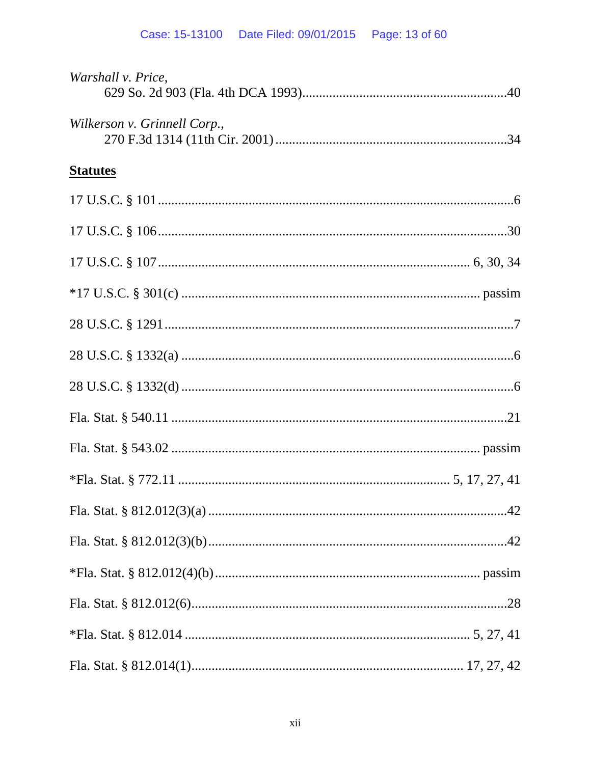| Warshall v. Price,           |  |
|------------------------------|--|
| Wilkerson v. Grinnell Corp., |  |
| <b>Statutes</b>              |  |
|                              |  |
|                              |  |
|                              |  |
|                              |  |
|                              |  |
|                              |  |
|                              |  |
|                              |  |
|                              |  |
|                              |  |
|                              |  |
|                              |  |
|                              |  |
|                              |  |
|                              |  |
|                              |  |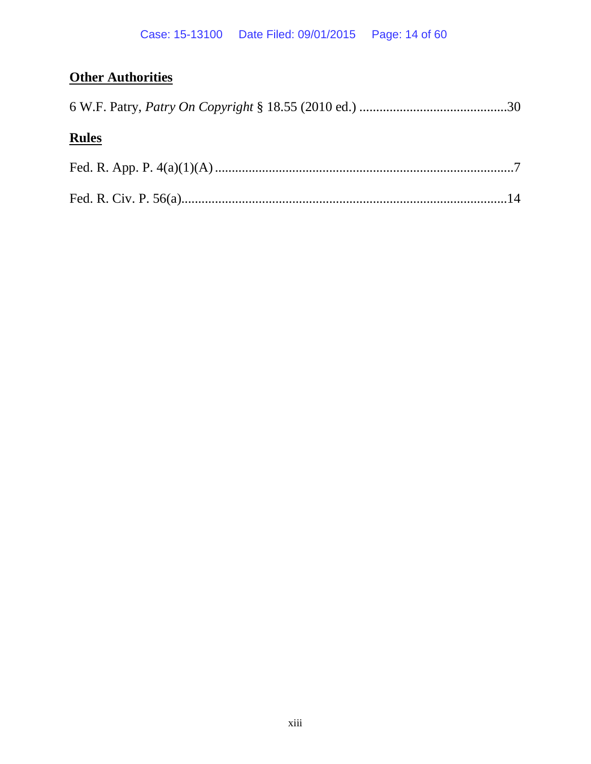# **Other Authorities**

# **Rules**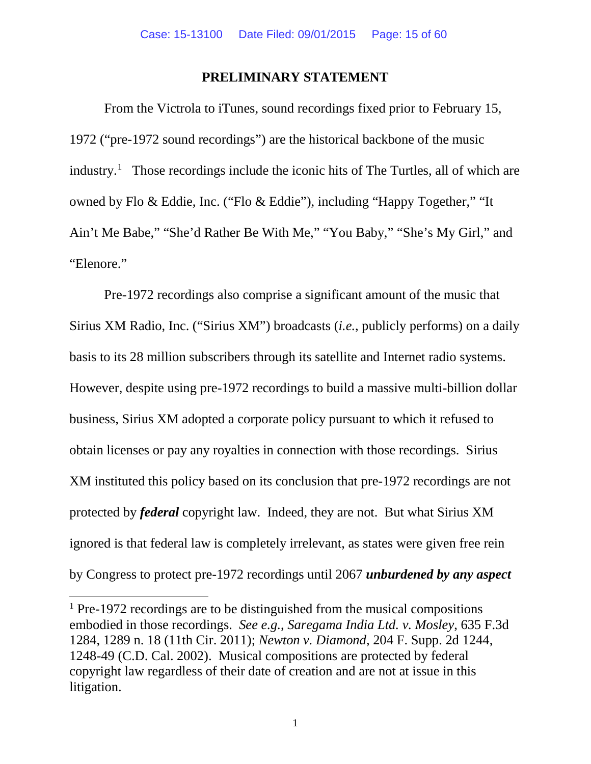#### **PRELIMINARY STATEMENT**

From the Victrola to iTunes, sound recordings fixed prior to February 15, 1972 ("pre-1972 sound recordings") are the historical backbone of the music industry.<sup>[1](#page-14-0)</sup> Those recordings include the iconic hits of The Turtles, all of which are owned by Flo & Eddie, Inc. ("Flo & Eddie"), including "Happy Together," "It Ain't Me Babe," "She'd Rather Be With Me," "You Baby," "She's My Girl," and "Elenore."

Pre-1972 recordings also comprise a significant amount of the music that Sirius XM Radio, Inc. ("Sirius XM") broadcasts (*i.e.*, publicly performs) on a daily basis to its 28 million subscribers through its satellite and Internet radio systems. However, despite using pre-1972 recordings to build a massive multi-billion dollar business, Sirius XM adopted a corporate policy pursuant to which it refused to obtain licenses or pay any royalties in connection with those recordings. Sirius XM instituted this policy based on its conclusion that pre-1972 recordings are not protected by *federal* copyright law. Indeed, they are not. But what Sirius XM ignored is that federal law is completely irrelevant, as states were given free rein by Congress to protect pre-1972 recordings until 2067 *unburdened by any aspect* 

 $\overline{a}$ 

<span id="page-14-0"></span><sup>&</sup>lt;sup>1</sup> Pre-1972 recordings are to be distinguished from the musical compositions embodied in those recordings. *See e.g.*, *Saregama India Ltd. v. Mosley*, 635 F.3d 1284, 1289 n. 18 (11th Cir. 2011); *Newton v. Diamond*, 204 F. Supp. 2d 1244, 1248-49 (C.D. Cal. 2002). Musical compositions are protected by federal copyright law regardless of their date of creation and are not at issue in this litigation.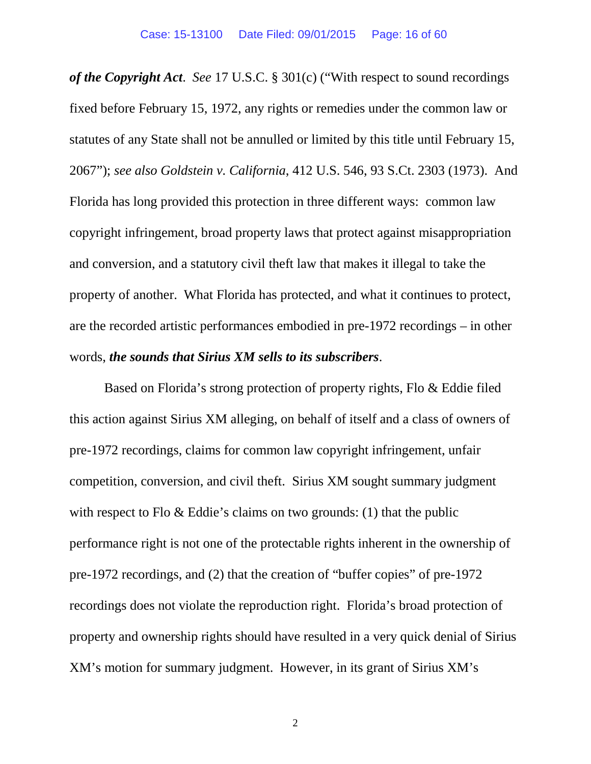*of the Copyright Act*. *See* 17 U.S.C. § 301(c) ("With respect to sound recordings fixed before February 15, 1972, any rights or remedies under the common law or statutes of any State shall not be annulled or limited by this title until February 15, 2067"); *see also Goldstein v. California*, 412 U.S. 546, 93 S.Ct. 2303 (1973). And Florida has long provided this protection in three different ways: common law copyright infringement, broad property laws that protect against misappropriation and conversion, and a statutory civil theft law that makes it illegal to take the property of another. What Florida has protected, and what it continues to protect, are the recorded artistic performances embodied in pre-1972 recordings – in other words, *the sounds that Sirius XM sells to its subscribers*.

Based on Florida's strong protection of property rights, Flo & Eddie filed this action against Sirius XM alleging, on behalf of itself and a class of owners of pre-1972 recordings, claims for common law copyright infringement, unfair competition, conversion, and civil theft. Sirius XM sought summary judgment with respect to Flo & Eddie's claims on two grounds: (1) that the public performance right is not one of the protectable rights inherent in the ownership of pre-1972 recordings, and (2) that the creation of "buffer copies" of pre-1972 recordings does not violate the reproduction right. Florida's broad protection of property and ownership rights should have resulted in a very quick denial of Sirius XM's motion for summary judgment. However, in its grant of Sirius XM's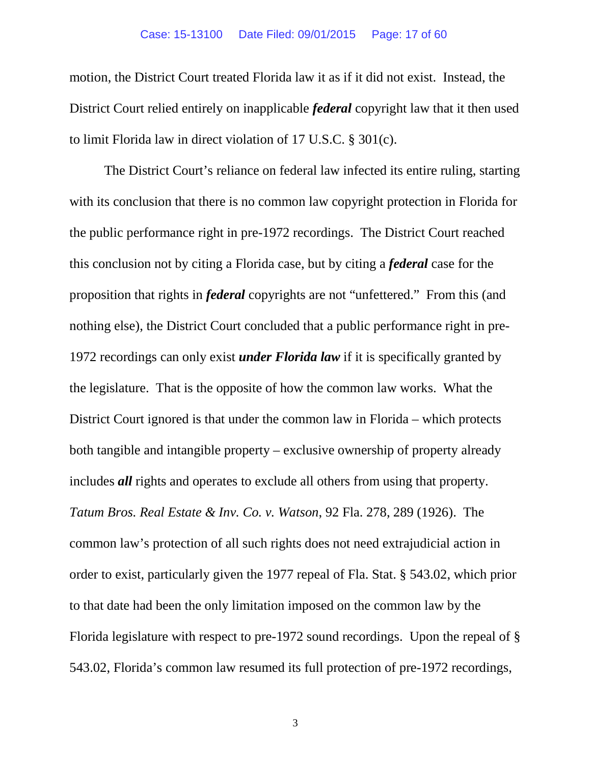#### Case: 15-13100 Date Filed: 09/01/2015 Page: 17 of 60

motion, the District Court treated Florida law it as if it did not exist. Instead, the District Court relied entirely on inapplicable *federal* copyright law that it then used to limit Florida law in direct violation of 17 U.S.C. § 301(c).

The District Court's reliance on federal law infected its entire ruling, starting with its conclusion that there is no common law copyright protection in Florida for the public performance right in pre-1972 recordings. The District Court reached this conclusion not by citing a Florida case, but by citing a *federal* case for the proposition that rights in *federal* copyrights are not "unfettered." From this (and nothing else), the District Court concluded that a public performance right in pre-1972 recordings can only exist *under Florida law* if it is specifically granted by the legislature. That is the opposite of how the common law works. What the District Court ignored is that under the common law in Florida – which protects both tangible and intangible property – exclusive ownership of property already includes *all* rights and operates to exclude all others from using that property. *Tatum Bros. Real Estate & Inv. Co. v. Watson*, 92 Fla. 278, 289 (1926). The common law's protection of all such rights does not need extrajudicial action in order to exist, particularly given the 1977 repeal of Fla. Stat. § 543.02, which prior to that date had been the only limitation imposed on the common law by the Florida legislature with respect to pre-1972 sound recordings. Upon the repeal of § 543.02, Florida's common law resumed its full protection of pre-1972 recordings,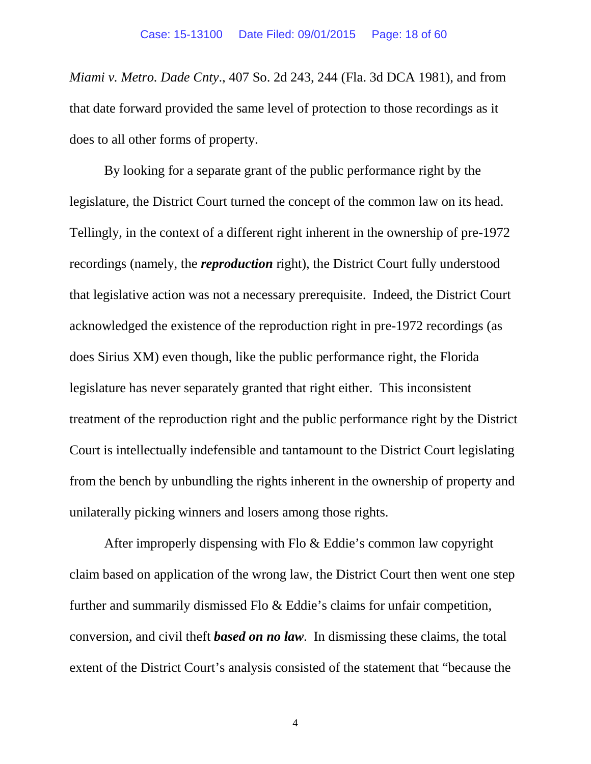*Miami v. Metro. Dade Cnty*., 407 So. 2d 243, 244 (Fla. 3d DCA 1981), and from that date forward provided the same level of protection to those recordings as it does to all other forms of property.

By looking for a separate grant of the public performance right by the legislature, the District Court turned the concept of the common law on its head. Tellingly, in the context of a different right inherent in the ownership of pre-1972 recordings (namely, the *reproduction* right), the District Court fully understood that legislative action was not a necessary prerequisite. Indeed, the District Court acknowledged the existence of the reproduction right in pre-1972 recordings (as does Sirius XM) even though, like the public performance right, the Florida legislature has never separately granted that right either. This inconsistent treatment of the reproduction right and the public performance right by the District Court is intellectually indefensible and tantamount to the District Court legislating from the bench by unbundling the rights inherent in the ownership of property and unilaterally picking winners and losers among those rights.

After improperly dispensing with Flo & Eddie's common law copyright claim based on application of the wrong law, the District Court then went one step further and summarily dismissed Flo & Eddie's claims for unfair competition, conversion, and civil theft *based on no law*. In dismissing these claims, the total extent of the District Court's analysis consisted of the statement that "because the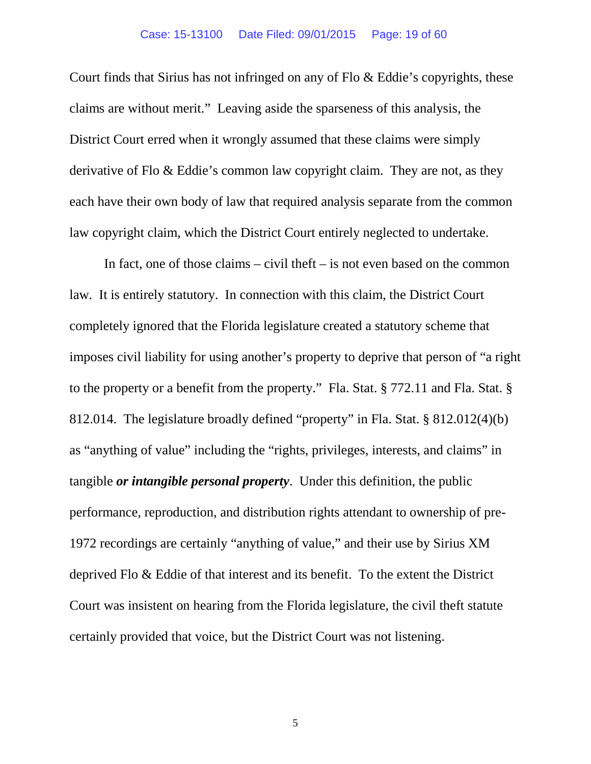Court finds that Sirius has not infringed on any of Flo & Eddie's copyrights, these claims are without merit." Leaving aside the sparseness of this analysis, the District Court erred when it wrongly assumed that these claims were simply derivative of Flo & Eddie's common law copyright claim. They are not, as they each have their own body of law that required analysis separate from the common law copyright claim, which the District Court entirely neglected to undertake.

In fact, one of those claims – civil theft – is not even based on the common law. It is entirely statutory. In connection with this claim, the District Court completely ignored that the Florida legislature created a statutory scheme that imposes civil liability for using another's property to deprive that person of "a right to the property or a benefit from the property." Fla. Stat. § 772.11 and Fla. Stat. § 812.014. The legislature broadly defined "property" in Fla. Stat. § 812.012(4)(b) as "anything of value" including the "rights, privileges, interests, and claims" in tangible *or intangible personal property*. Under this definition, the public performance, reproduction, and distribution rights attendant to ownership of pre-1972 recordings are certainly "anything of value," and their use by Sirius XM deprived Flo & Eddie of that interest and its benefit. To the extent the District Court was insistent on hearing from the Florida legislature, the civil theft statute certainly provided that voice, but the District Court was not listening.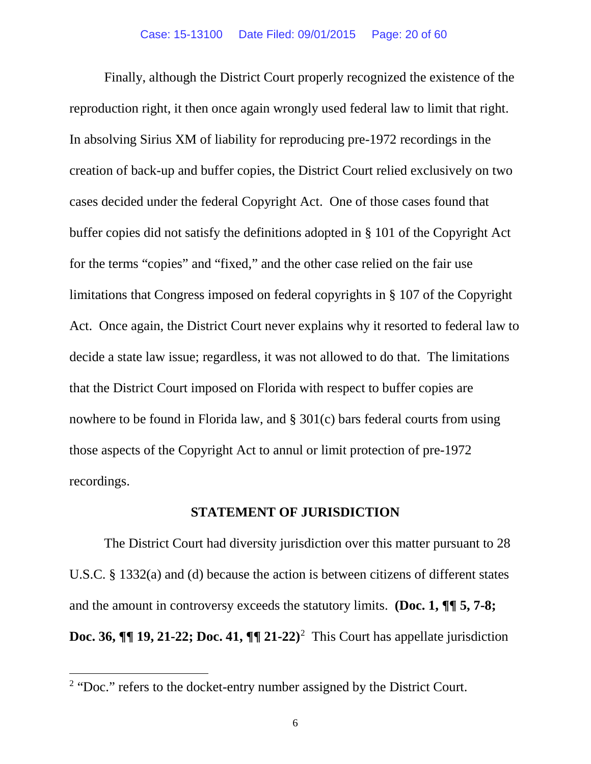Finally, although the District Court properly recognized the existence of the reproduction right, it then once again wrongly used federal law to limit that right. In absolving Sirius XM of liability for reproducing pre-1972 recordings in the creation of back-up and buffer copies, the District Court relied exclusively on two cases decided under the federal Copyright Act. One of those cases found that buffer copies did not satisfy the definitions adopted in § 101 of the Copyright Act for the terms "copies" and "fixed," and the other case relied on the fair use limitations that Congress imposed on federal copyrights in § 107 of the Copyright Act. Once again, the District Court never explains why it resorted to federal law to decide a state law issue; regardless, it was not allowed to do that. The limitations that the District Court imposed on Florida with respect to buffer copies are nowhere to be found in Florida law, and § 301(c) bars federal courts from using those aspects of the Copyright Act to annul or limit protection of pre-1972 recordings.

#### **STATEMENT OF JURISDICTION**

The District Court had diversity jurisdiction over this matter pursuant to 28 U.S.C. § 1332(a) and (d) because the action is between citizens of different states and the amount in controversy exceeds the statutory limits. **(Doc. 1, ¶¶ 5, 7-8; Doc. 36,**  $\P\P$  19, [2](#page-19-0)1-22; Doc. 41,  $\P\P$  21-22)<sup>2</sup> This Court has appellate jurisdiction

 $\overline{\phantom{a}}$ 

<span id="page-19-0"></span><sup>&</sup>lt;sup>2</sup> "Doc." refers to the docket-entry number assigned by the District Court.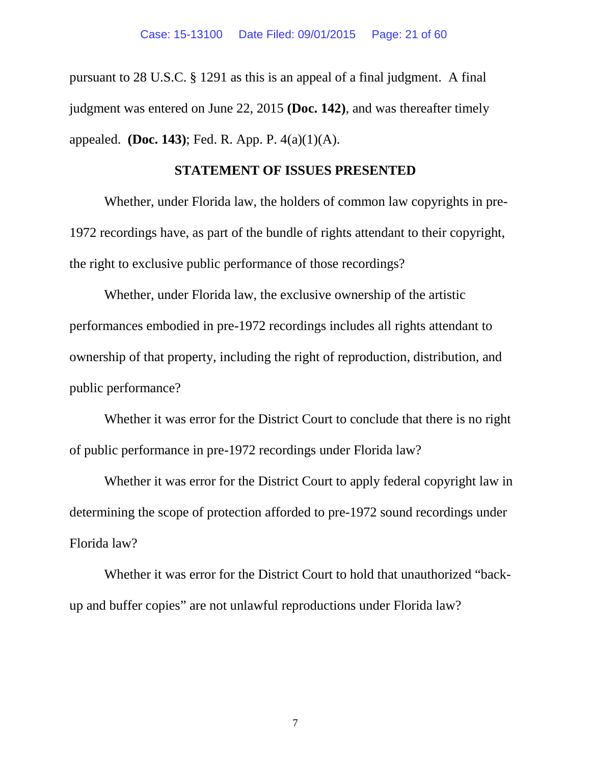pursuant to 28 U.S.C. § 1291 as this is an appeal of a final judgment. A final judgment was entered on June 22, 2015 **(Doc. 142)**, and was thereafter timely appealed. **(Doc. 143)**; Fed. R. App. P. 4(a)(1)(A).

#### **STATEMENT OF ISSUES PRESENTED**

Whether, under Florida law, the holders of common law copyrights in pre-1972 recordings have, as part of the bundle of rights attendant to their copyright, the right to exclusive public performance of those recordings?

Whether, under Florida law, the exclusive ownership of the artistic performances embodied in pre-1972 recordings includes all rights attendant to ownership of that property, including the right of reproduction, distribution, and public performance?

Whether it was error for the District Court to conclude that there is no right of public performance in pre-1972 recordings under Florida law?

Whether it was error for the District Court to apply federal copyright law in determining the scope of protection afforded to pre-1972 sound recordings under Florida law?

Whether it was error for the District Court to hold that unauthorized "backup and buffer copies" are not unlawful reproductions under Florida law?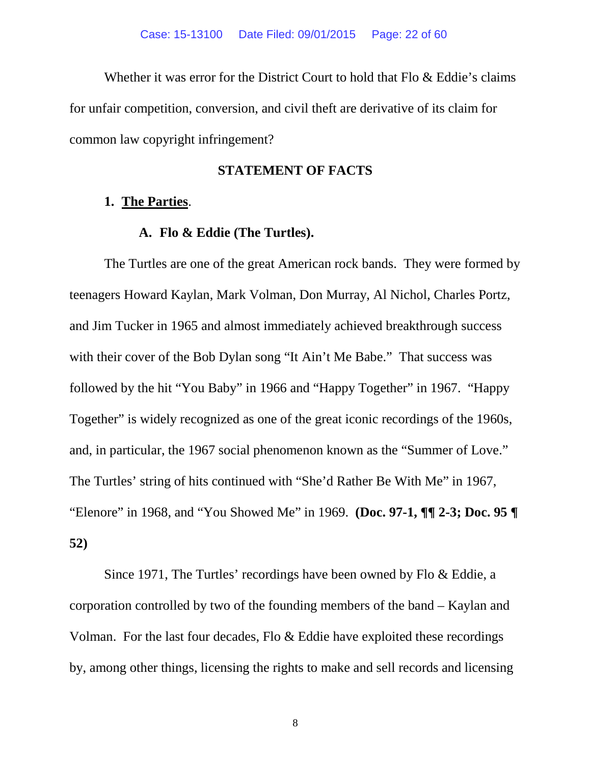Whether it was error for the District Court to hold that Flo & Eddie's claims for unfair competition, conversion, and civil theft are derivative of its claim for common law copyright infringement?

#### **STATEMENT OF FACTS**

#### **1. The Parties**.

#### **A. Flo & Eddie (The Turtles).**

The Turtles are one of the great American rock bands. They were formed by teenagers Howard Kaylan, Mark Volman, Don Murray, Al Nichol, Charles Portz, and Jim Tucker in 1965 and almost immediately achieved breakthrough success with their cover of the Bob Dylan song "It Ain't Me Babe." That success was followed by the hit "You Baby" in 1966 and "Happy Together" in 1967. "Happy Together" is widely recognized as one of the great iconic recordings of the 1960s, and, in particular, the 1967 social phenomenon known as the "Summer of Love." The Turtles' string of hits continued with "She'd Rather Be With Me" in 1967, "Elenore" in 1968, and "You Showed Me" in 1969. **(Doc. 97-1, ¶¶ 2-3; Doc. 95 ¶ 52)**

Since 1971, The Turtles' recordings have been owned by Flo & Eddie, a corporation controlled by two of the founding members of the band – Kaylan and Volman. For the last four decades, Flo & Eddie have exploited these recordings by, among other things, licensing the rights to make and sell records and licensing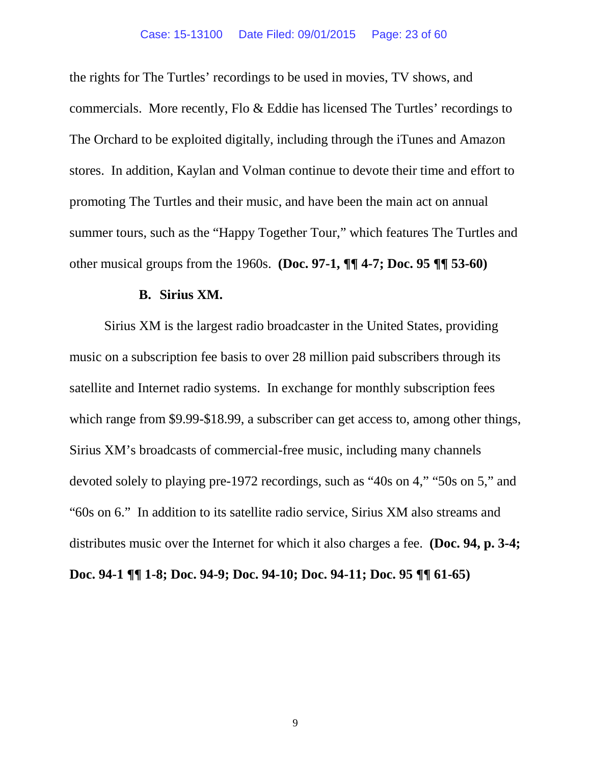the rights for The Turtles' recordings to be used in movies, TV shows, and commercials. More recently, Flo & Eddie has licensed The Turtles' recordings to The Orchard to be exploited digitally, including through the iTunes and Amazon stores. In addition, Kaylan and Volman continue to devote their time and effort to promoting The Turtles and their music, and have been the main act on annual summer tours, such as the "Happy Together Tour," which features The Turtles and other musical groups from the 1960s. **(Doc. 97-1, ¶¶ 4-7; Doc. 95 ¶¶ 53-60)**

#### **B. Sirius XM.**

Sirius XM is the largest radio broadcaster in the United States, providing music on a subscription fee basis to over 28 million paid subscribers through its satellite and Internet radio systems. In exchange for monthly subscription fees which range from \$9.99-\$18.99, a subscriber can get access to, among other things, Sirius XM's broadcasts of commercial-free music, including many channels devoted solely to playing pre-1972 recordings, such as "40s on 4," "50s on 5," and "60s on 6." In addition to its satellite radio service, Sirius XM also streams and distributes music over the Internet for which it also charges a fee. **(Doc. 94, p. 3-4; Doc. 94-1 ¶¶ 1-8; Doc. 94-9; Doc. 94-10; Doc. 94-11; Doc. 95 ¶¶ 61-65)**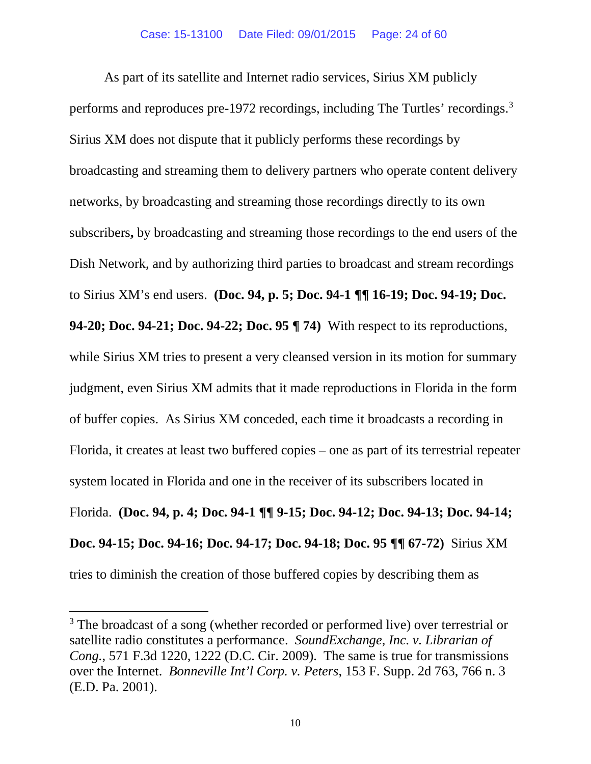As part of its satellite and Internet radio services, Sirius XM publicly performs and reproduces pre-1972 recordings, including The Turtles' recordings. [3](#page-23-0) Sirius XM does not dispute that it publicly performs these recordings by broadcasting and streaming them to delivery partners who operate content delivery networks, by broadcasting and streaming those recordings directly to its own subscribers**,** by broadcasting and streaming those recordings to the end users of the Dish Network, and by authorizing third parties to broadcast and stream recordings to Sirius XM's end users. **(Doc. 94, p. 5; Doc. 94-1 ¶¶ 16-19; Doc. 94-19; Doc. 94-20; Doc. 94-21; Doc. 94-22; Doc. 95 ¶ 74)** With respect to its reproductions, while Sirius XM tries to present a very cleansed version in its motion for summary judgment, even Sirius XM admits that it made reproductions in Florida in the form of buffer copies. As Sirius XM conceded, each time it broadcasts a recording in Florida, it creates at least two buffered copies – one as part of its terrestrial repeater system located in Florida and one in the receiver of its subscribers located in Florida. **(Doc. 94, p. 4; Doc. 94-1 ¶¶ 9-15; Doc. 94-12; Doc. 94-13; Doc. 94-14; Doc. 94-15; Doc. 94-16; Doc. 94-17; Doc. 94-18; Doc. 95 ¶¶ 67-72)** Sirius XM tries to diminish the creation of those buffered copies by describing them as

 $\overline{a}$ 

<span id="page-23-0"></span><sup>&</sup>lt;sup>3</sup> The broadcast of a song (whether recorded or performed live) over terrestrial or satellite radio constitutes a performance. *SoundExchange, Inc. v. Librarian of Cong.*, 571 F.3d 1220, 1222 (D.C. Cir. 2009). The same is true for transmissions over the Internet. *Bonneville Int'l Corp. v. Peters*, 153 F. Supp. 2d 763, 766 n. 3 (E.D. Pa. 2001).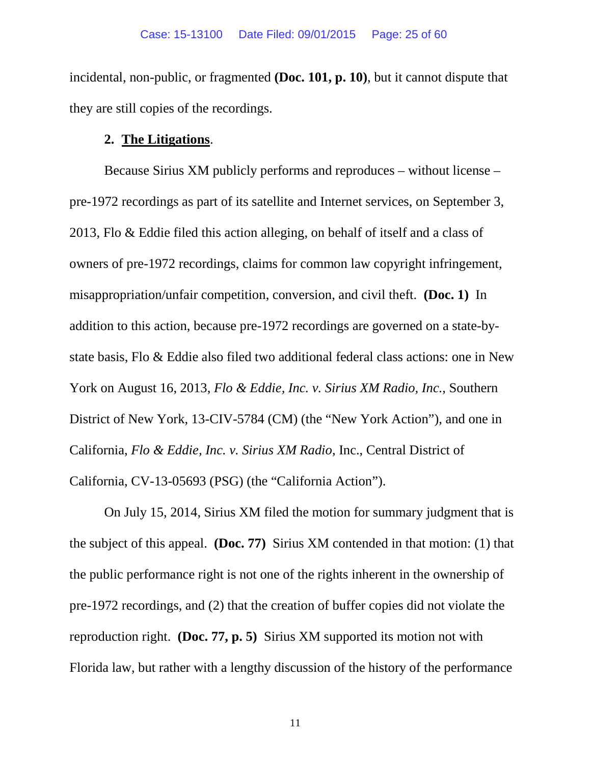incidental, non-public, or fragmented **(Doc. 101, p. 10)**, but it cannot dispute that they are still copies of the recordings.

#### **2. The Litigations**.

Because Sirius XM publicly performs and reproduces – without license – pre-1972 recordings as part of its satellite and Internet services, on September 3, 2013, Flo & Eddie filed this action alleging, on behalf of itself and a class of owners of pre-1972 recordings, claims for common law copyright infringement, misappropriation/unfair competition, conversion, and civil theft. **(Doc. 1)** In addition to this action, because pre-1972 recordings are governed on a state-bystate basis, Flo & Eddie also filed two additional federal class actions: one in New York on August 16, 2013, *Flo & Eddie, Inc. v. Sirius XM Radio, Inc.*, Southern District of New York, 13-CIV-5784 (CM) (the "New York Action"), and one in California, *Flo & Eddie, Inc. v. Sirius XM Radio*, Inc., Central District of California, CV-13-05693 (PSG) (the "California Action").

On July 15, 2014, Sirius XM filed the motion for summary judgment that is the subject of this appeal. **(Doc. 77)** Sirius XM contended in that motion: (1) that the public performance right is not one of the rights inherent in the ownership of pre-1972 recordings, and (2) that the creation of buffer copies did not violate the reproduction right. **(Doc. 77, p. 5)** Sirius XM supported its motion not with Florida law, but rather with a lengthy discussion of the history of the performance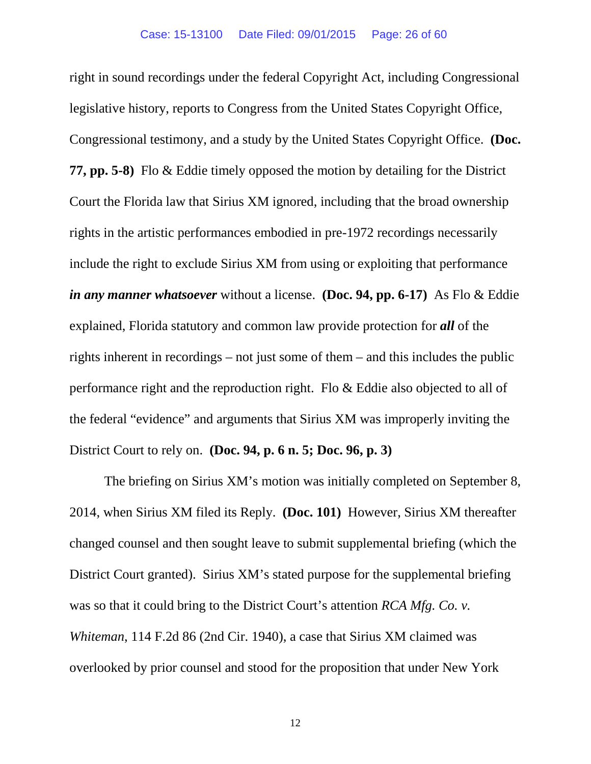right in sound recordings under the federal Copyright Act, including Congressional legislative history, reports to Congress from the United States Copyright Office, Congressional testimony, and a study by the United States Copyright Office. **(Doc. 77, pp. 5-8)** Flo & Eddie timely opposed the motion by detailing for the District Court the Florida law that Sirius XM ignored, including that the broad ownership rights in the artistic performances embodied in pre-1972 recordings necessarily include the right to exclude Sirius XM from using or exploiting that performance *in any manner whatsoever* without a license. **(Doc. 94, pp. 6-17)** As Flo & Eddie explained, Florida statutory and common law provide protection for *all* of the rights inherent in recordings – not just some of them – and this includes the public performance right and the reproduction right. Flo & Eddie also objected to all of the federal "evidence" and arguments that Sirius XM was improperly inviting the District Court to rely on. **(Doc. 94, p. 6 n. 5; Doc. 96, p. 3)**

The briefing on Sirius XM's motion was initially completed on September 8, 2014, when Sirius XM filed its Reply. **(Doc. 101)** However, Sirius XM thereafter changed counsel and then sought leave to submit supplemental briefing (which the District Court granted). Sirius XM's stated purpose for the supplemental briefing was so that it could bring to the District Court's attention *RCA Mfg. Co. v. Whiteman*, 114 F.2d 86 (2nd Cir. 1940), a case that Sirius XM claimed was overlooked by prior counsel and stood for the proposition that under New York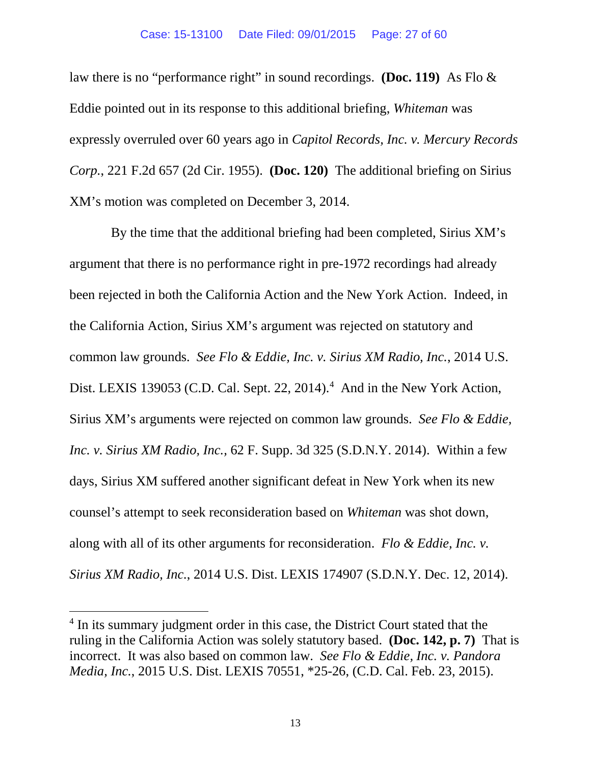#### Case: 15-13100 Date Filed: 09/01/2015 Page: 27 of 60

law there is no "performance right" in sound recordings. **(Doc. 119)** As Flo & Eddie pointed out in its response to this additional briefing, *Whiteman* was expressly overruled over 60 years ago in *Capitol Records, Inc. v. Mercury Records Corp.*, 221 F.2d 657 (2d Cir. 1955). **(Doc. 120)** The additional briefing on Sirius XM's motion was completed on December 3, 2014.

 By the time that the additional briefing had been completed, Sirius XM's argument that there is no performance right in pre-1972 recordings had already been rejected in both the California Action and the New York Action. Indeed, in the California Action, Sirius XM's argument was rejected on statutory and common law grounds. *See Flo & Eddie, Inc. v. Sirius XM Radio, Inc.*, 2014 U.S. Dist. LEXIS 139053 (C.D. Cal. Sept. 22, 201[4](#page-26-0)).<sup>4</sup> And in the New York Action, Sirius XM's arguments were rejected on common law grounds. *See Flo & Eddie, Inc. v. Sirius XM Radio, Inc.,* 62 F. Supp. 3d 325 (S.D.N.Y. 2014). Within a few days, Sirius XM suffered another significant defeat in New York when its new counsel's attempt to seek reconsideration based on *Whiteman* was shot down, along with all of its other arguments for reconsideration. *Flo & Eddie, Inc. v. Sirius XM Radio, Inc.*, 2014 U.S. Dist. LEXIS 174907 (S.D.N.Y. Dec. 12, 2014).

 $\overline{a}$ 

<span id="page-26-0"></span><sup>&</sup>lt;sup>4</sup> In its summary judgment order in this case, the District Court stated that the ruling in the California Action was solely statutory based. **(Doc. 142, p. 7)** That is incorrect. It was also based on common law. *See Flo & Eddie, Inc. v. Pandora Media, Inc.*, 2015 U.S. Dist. LEXIS 70551, \*25-26, (C.D. Cal. Feb. 23, 2015).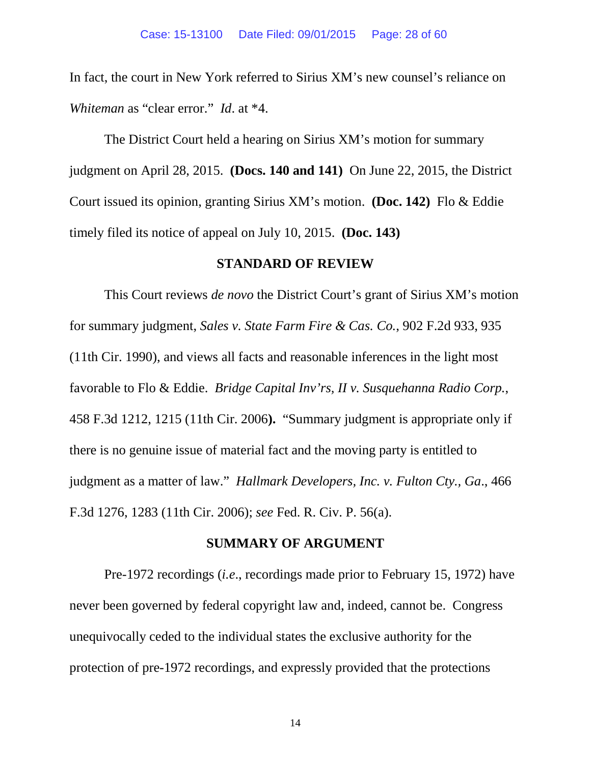In fact, the court in New York referred to Sirius XM's new counsel's reliance on *Whiteman* as "clear error." *Id*. at \*4.

The District Court held a hearing on Sirius XM's motion for summary judgment on April 28, 2015. **(Docs. 140 and 141)** On June 22, 2015, the District Court issued its opinion, granting Sirius XM's motion. **(Doc. 142)** Flo & Eddie timely filed its notice of appeal on July 10, 2015. **(Doc. 143)**

#### **STANDARD OF REVIEW**

This Court reviews *de novo* the District Court's grant of Sirius XM's motion for summary judgment, *Sales v. State Farm Fire & Cas. Co.*, 902 F.2d 933, 935 (11th Cir. 1990), and views all facts and reasonable inferences in the light most favorable to Flo & Eddie. *Bridge Capital Inv'rs, II v. Susquehanna Radio Corp.*, 458 F.3d 1212, 1215 (11th Cir. 2006**).** "Summary judgment is appropriate only if there is no genuine issue of material fact and the moving party is entitled to judgment as a matter of law." *Hallmark Developers, Inc. v. Fulton Cty., Ga*., 466 F.3d 1276, 1283 (11th Cir. 2006); *see* Fed. R. Civ. P. 56(a).

#### **SUMMARY OF ARGUMENT**

Pre-1972 recordings (*i.e*., recordings made prior to February 15, 1972) have never been governed by federal copyright law and, indeed, cannot be. Congress unequivocally ceded to the individual states the exclusive authority for the protection of pre-1972 recordings, and expressly provided that the protections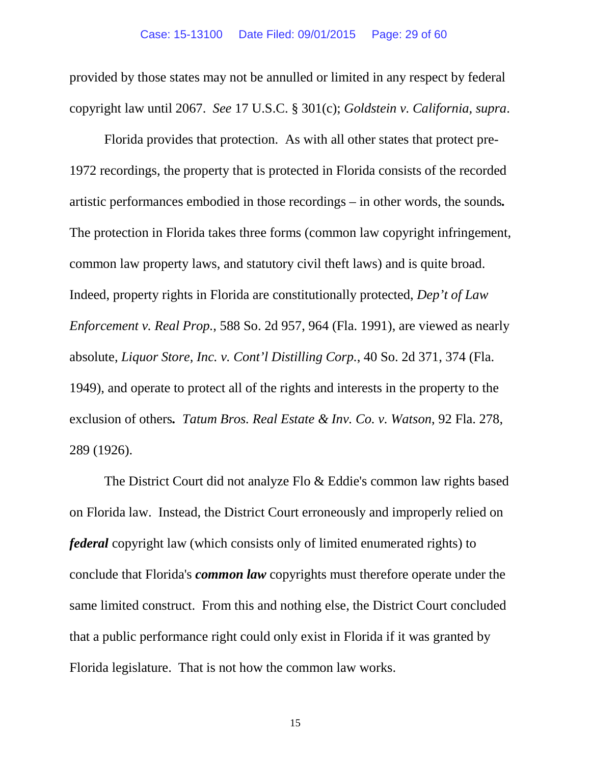provided by those states may not be annulled or limited in any respect by federal copyright law until 2067. *See* 17 U.S.C. § 301(c); *Goldstein v. California, supra*.

Florida provides that protection. As with all other states that protect pre-1972 recordings, the property that is protected in Florida consists of the recorded artistic performances embodied in those recordings – in other words, the sounds*.* The protection in Florida takes three forms (common law copyright infringement, common law property laws, and statutory civil theft laws) and is quite broad. Indeed, property rights in Florida are constitutionally protected, *Dep't of Law Enforcement v. Real Prop.*, 588 So. 2d 957, 964 (Fla. 1991), are viewed as nearly absolute, *Liquor Store, Inc. v. Cont'l Distilling Corp.*, 40 So. 2d 371, 374 (Fla. 1949), and operate to protect all of the rights and interests in the property to the exclusion of others*. Tatum Bros. Real Estate & Inv. Co. v. Watson*, 92 Fla. 278, 289 (1926).

The District Court did not analyze Flo & Eddie's common law rights based on Florida law. Instead, the District Court erroneously and improperly relied on *federal* copyright law (which consists only of limited enumerated rights) to conclude that Florida's *common law* copyrights must therefore operate under the same limited construct. From this and nothing else, the District Court concluded that a public performance right could only exist in Florida if it was granted by Florida legislature. That is not how the common law works.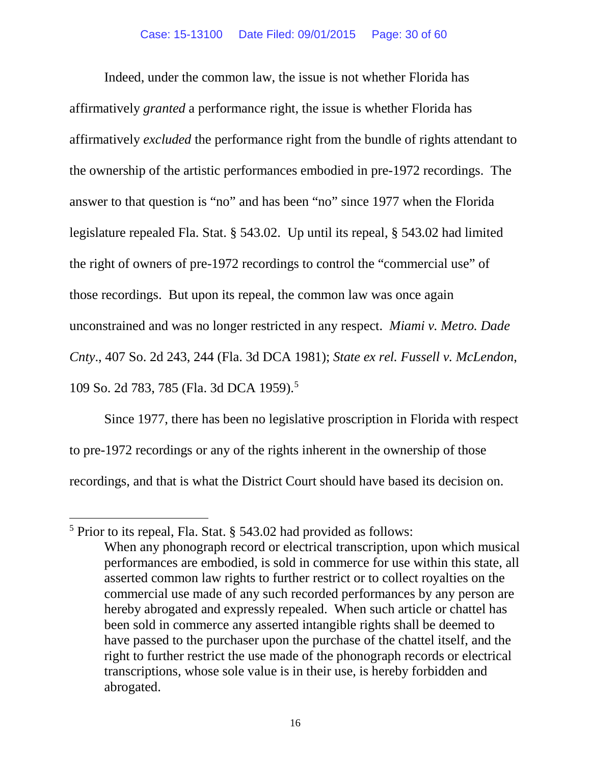Indeed, under the common law, the issue is not whether Florida has affirmatively *granted* a performance right, the issue is whether Florida has affirmatively *excluded* the performance right from the bundle of rights attendant to the ownership of the artistic performances embodied in pre-1972 recordings. The answer to that question is "no" and has been "no" since 1977 when the Florida legislature repealed Fla. Stat. § 543.02. Up until its repeal, § 543.02 had limited the right of owners of pre-1972 recordings to control the "commercial use" of those recordings. But upon its repeal, the common law was once again unconstrained and was no longer restricted in any respect. *Miami v. Metro. Dade Cnty*., 407 So. 2d 243, 244 (Fla. 3d DCA 1981); *State ex rel. Fussell v. McLendon*, 109 So. 2d 783, 785 (Fla. 3d DCA 1959). [5](#page-29-0)

Since 1977, there has been no legislative proscription in Florida with respect to pre-1972 recordings or any of the rights inherent in the ownership of those recordings, and that is what the District Court should have based its decision on.

l

<span id="page-29-0"></span> $<sup>5</sup>$  Prior to its repeal, Fla. Stat. § 543.02 had provided as follows:</sup> When any phonograph record or electrical transcription, upon which musical performances are embodied, is sold in commerce for use within this state, all asserted common law rights to further restrict or to collect royalties on the commercial use made of any such recorded performances by any person are hereby abrogated and expressly repealed. When such article or chattel has been sold in commerce any asserted intangible rights shall be deemed to have passed to the purchaser upon the purchase of the chattel itself, and the right to further restrict the use made of the phonograph records or electrical transcriptions, whose sole value is in their use, is hereby forbidden and abrogated.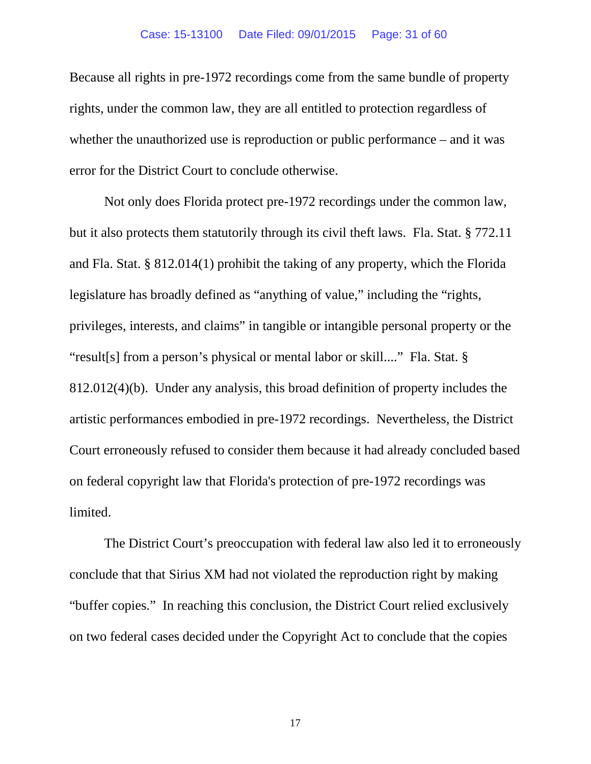Because all rights in pre-1972 recordings come from the same bundle of property rights, under the common law, they are all entitled to protection regardless of whether the unauthorized use is reproduction or public performance – and it was error for the District Court to conclude otherwise.

Not only does Florida protect pre-1972 recordings under the common law, but it also protects them statutorily through its civil theft laws. Fla. Stat. § 772.11 and Fla. Stat. § 812.014(1) prohibit the taking of any property, which the Florida legislature has broadly defined as "anything of value," including the "rights, privileges, interests, and claims" in tangible or intangible personal property or the "result[s] from a person's physical or mental labor or skill...." Fla. Stat. § 812.012(4)(b). Under any analysis, this broad definition of property includes the artistic performances embodied in pre-1972 recordings. Nevertheless, the District Court erroneously refused to consider them because it had already concluded based on federal copyright law that Florida's protection of pre-1972 recordings was limited.

The District Court's preoccupation with federal law also led it to erroneously conclude that that Sirius XM had not violated the reproduction right by making "buffer copies." In reaching this conclusion, the District Court relied exclusively on two federal cases decided under the Copyright Act to conclude that the copies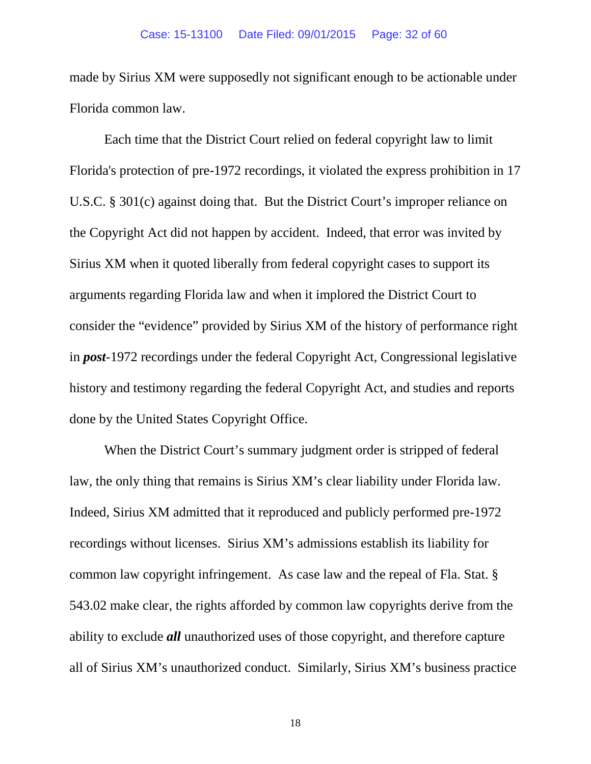made by Sirius XM were supposedly not significant enough to be actionable under Florida common law.

Each time that the District Court relied on federal copyright law to limit Florida's protection of pre-1972 recordings, it violated the express prohibition in 17 U.S.C. § 301(c) against doing that. But the District Court's improper reliance on the Copyright Act did not happen by accident. Indeed, that error was invited by Sirius XM when it quoted liberally from federal copyright cases to support its arguments regarding Florida law and when it implored the District Court to consider the "evidence" provided by Sirius XM of the history of performance right in *post*-1972 recordings under the federal Copyright Act, Congressional legislative history and testimony regarding the federal Copyright Act, and studies and reports done by the United States Copyright Office.

When the District Court's summary judgment order is stripped of federal law, the only thing that remains is Sirius XM's clear liability under Florida law. Indeed, Sirius XM admitted that it reproduced and publicly performed pre-1972 recordings without licenses. Sirius XM's admissions establish its liability for common law copyright infringement. As case law and the repeal of Fla. Stat. § 543.02 make clear, the rights afforded by common law copyrights derive from the ability to exclude *all* unauthorized uses of those copyright, and therefore capture all of Sirius XM's unauthorized conduct. Similarly, Sirius XM's business practice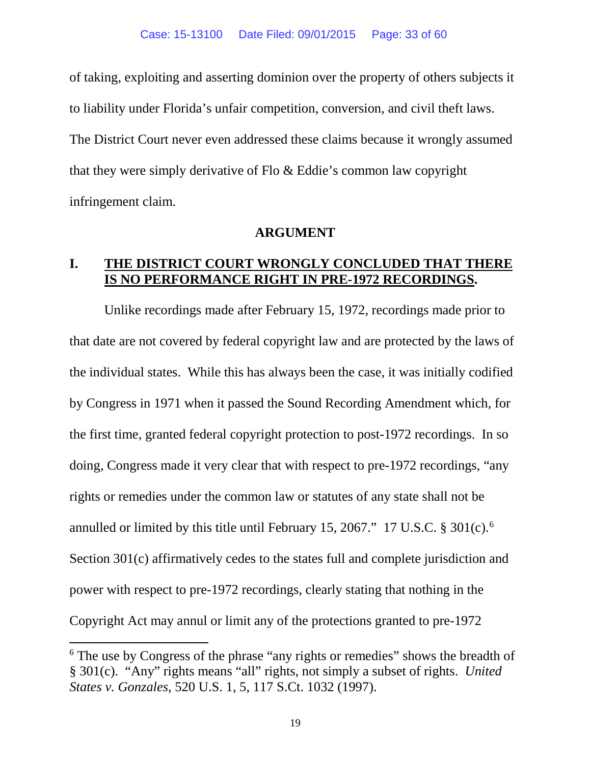of taking, exploiting and asserting dominion over the property of others subjects it to liability under Florida's unfair competition, conversion, and civil theft laws. The District Court never even addressed these claims because it wrongly assumed that they were simply derivative of Flo & Eddie's common law copyright infringement claim.

#### **ARGUMENT**

#### **I. THE DISTRICT COURT WRONGLY CONCLUDED THAT THERE IS NO PERFORMANCE RIGHT IN PRE-1972 RECORDINGS.**

Unlike recordings made after February 15, 1972, recordings made prior to that date are not covered by federal copyright law and are protected by the laws of the individual states. While this has always been the case, it was initially codified by Congress in 1971 when it passed the Sound Recording Amendment which, for the first time, granted federal copyright protection to post-1972 recordings. In so doing, Congress made it very clear that with respect to pre-1972 recordings, "any rights or remedies under the common law or statutes of any state shall not be annulled or limited by this title until February 15, 2067." 17 U.S.C. § 301(c). [6](#page-32-0) Section 301(c) affirmatively cedes to the states full and complete jurisdiction and power with respect to pre-1972 recordings, clearly stating that nothing in the Copyright Act may annul or limit any of the protections granted to pre-1972

 $\overline{a}$ 

<span id="page-32-0"></span><sup>&</sup>lt;sup>6</sup> The use by Congress of the phrase "any rights or remedies" shows the breadth of § 301(c). "Any" rights means "all" rights, not simply a subset of rights. *United States v. Gonzales*, 520 U.S. 1, 5, 117 S.Ct. 1032 (1997).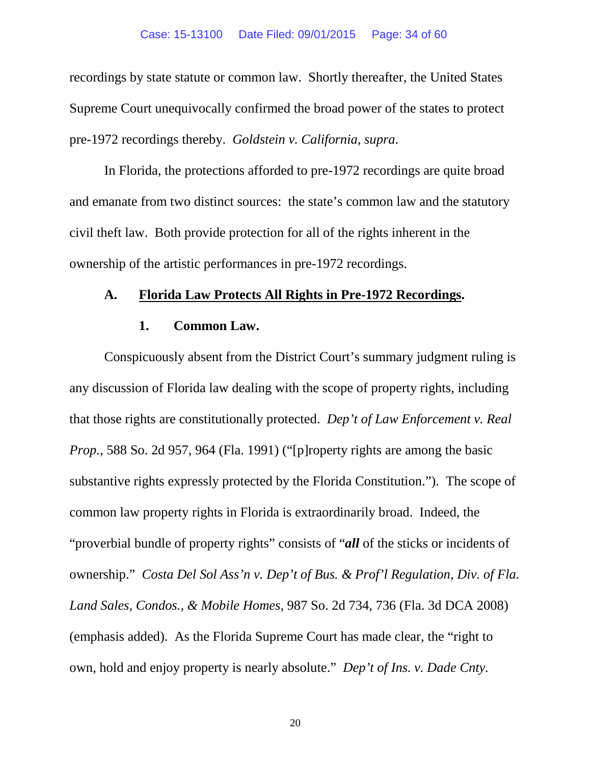#### Case: 15-13100 Date Filed: 09/01/2015 Page: 34 of 60

recordings by state statute or common law. Shortly thereafter, the United States Supreme Court unequivocally confirmed the broad power of the states to protect pre-1972 recordings thereby. *Goldstein v. California, supra*.

In Florida, the protections afforded to pre-1972 recordings are quite broad and emanate from two distinct sources: the state's common law and the statutory civil theft law. Both provide protection for all of the rights inherent in the ownership of the artistic performances in pre-1972 recordings.

#### **A. Florida Law Protects All Rights in Pre-1972 Recordings.**

#### **1. Common Law.**

Conspicuously absent from the District Court's summary judgment ruling is any discussion of Florida law dealing with the scope of property rights, including that those rights are constitutionally protected. *Dep't of Law Enforcement v. Real Prop.*, 588 So. 2d 957, 964 (Fla. 1991) ("[p]roperty rights are among the basic substantive rights expressly protected by the Florida Constitution."). The scope of common law property rights in Florida is extraordinarily broad. Indeed, the "proverbial bundle of property rights" consists of "*all* of the sticks or incidents of ownership." *Costa Del Sol Ass'n v. Dep't of Bus. & Prof'l Regulation, Div. of Fla. Land Sales, Condos., & Mobile Homes*, 987 So. 2d 734, 736 (Fla. 3d DCA 2008) (emphasis added). As the Florida Supreme Court has made clear, the "right to own, hold and enjoy property is nearly absolute." *Dep't of Ins. v. Dade Cnty.*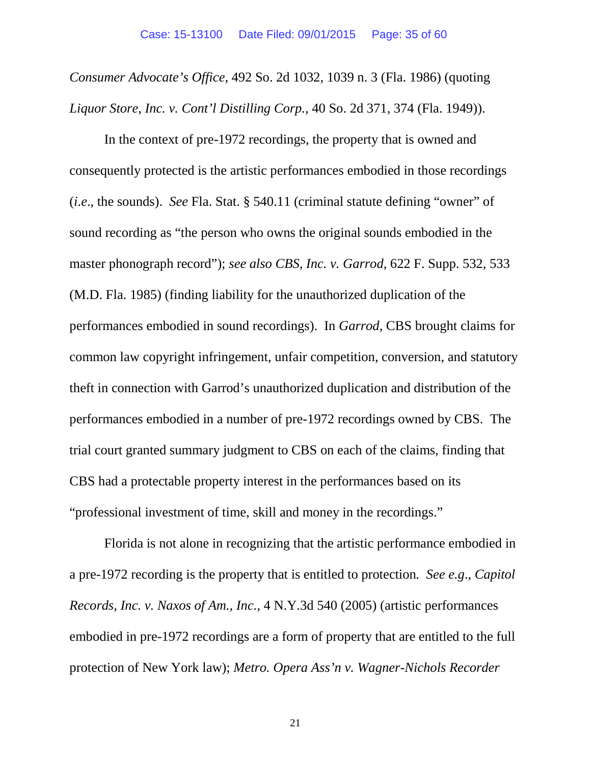*Consumer Advocate's Office*, 492 So. 2d 1032, 1039 n. 3 (Fla. 1986) (quoting *Liquor Store, Inc. v. Cont'l Distilling Corp.*, 40 So. 2d 371, 374 (Fla. 1949)).

In the context of pre-1972 recordings, the property that is owned and consequently protected is the artistic performances embodied in those recordings (*i*.*e*., the sounds). *See* Fla. Stat. § 540.11 (criminal statute defining "owner" of sound recording as "the person who owns the original sounds embodied in the master phonograph record"); *see also CBS, Inc. v. Garrod*, 622 F. Supp. 532, 533 (M.D. Fla. 1985) (finding liability for the unauthorized duplication of the performances embodied in sound recordings). In *Garrod*, CBS brought claims for common law copyright infringement, unfair competition, conversion, and statutory theft in connection with Garrod's unauthorized duplication and distribution of the performances embodied in a number of pre-1972 recordings owned by CBS. The trial court granted summary judgment to CBS on each of the claims, finding that CBS had a protectable property interest in the performances based on its "professional investment of time, skill and money in the recordings."

Florida is not alone in recognizing that the artistic performance embodied in a pre-1972 recording is the property that is entitled to protection*. See e.g*., *Capitol Records, Inc. v. Naxos of Am., Inc.*, 4 N.Y.3d 540 (2005) (artistic performances embodied in pre-1972 recordings are a form of property that are entitled to the full protection of New York law); *Metro. Opera Ass'n v. Wagner-Nichols Recorder*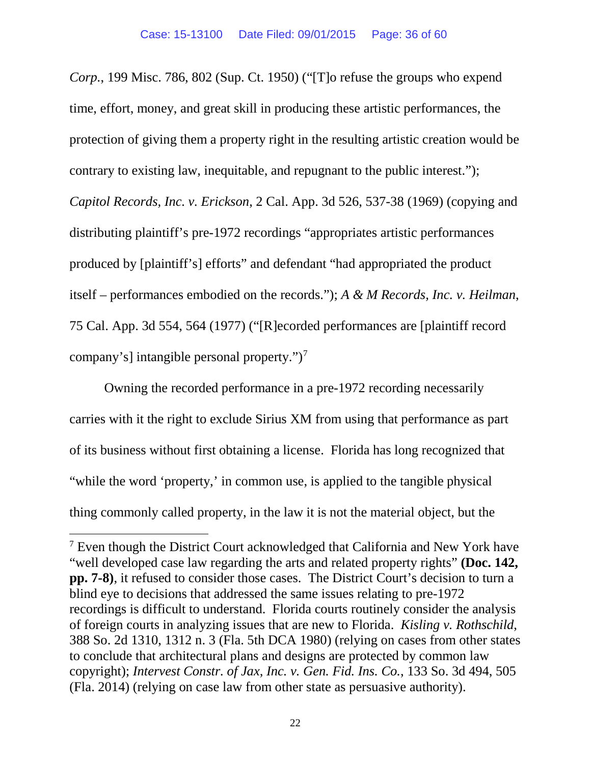*Corp.*, 199 Misc. 786, 802 (Sup. Ct. 1950) ("[T]o refuse the groups who expend time, effort, money, and great skill in producing these artistic performances, the protection of giving them a property right in the resulting artistic creation would be contrary to existing law, inequitable, and repugnant to the public interest."); *Capitol Records, Inc. v. Erickson*, 2 Cal. App. 3d 526, 537-38 (1969) (copying and distributing plaintiff's pre-1972 recordings "appropriates artistic performances produced by [plaintiff's] efforts" and defendant "had appropriated the product itself – performances embodied on the records."); *A & M Records, Inc. v. Heilman*, 75 Cal. App. 3d 554, 564 (1977) ("[R]ecorded performances are [plaintiff record company's] intangible personal property.")[7](#page-35-0)

Owning the recorded performance in a pre-1972 recording necessarily carries with it the right to exclude Sirius XM from using that performance as part of its business without first obtaining a license. Florida has long recognized that "while the word 'property,' in common use, is applied to the tangible physical thing commonly called property, in the law it is not the material object, but the

l

<span id="page-35-0"></span><sup>&</sup>lt;sup>7</sup> Even though the District Court acknowledged that California and New York have "well developed case law regarding the arts and related property rights" **(Doc. 142, pp. 7-8)**, it refused to consider those cases. The District Court's decision to turn a blind eye to decisions that addressed the same issues relating to pre-1972 recordings is difficult to understand. Florida courts routinely consider the analysis of foreign courts in analyzing issues that are new to Florida. *Kisling v. Rothschild*, 388 So. 2d 1310, 1312 n. 3 (Fla. 5th DCA 1980) (relying on cases from other states to conclude that architectural plans and designs are protected by common law copyright); *Intervest Constr. of Jax, Inc. v. Gen. Fid. Ins. Co.*, 133 So. 3d 494, 505 (Fla. 2014) (relying on case law from other state as persuasive authority).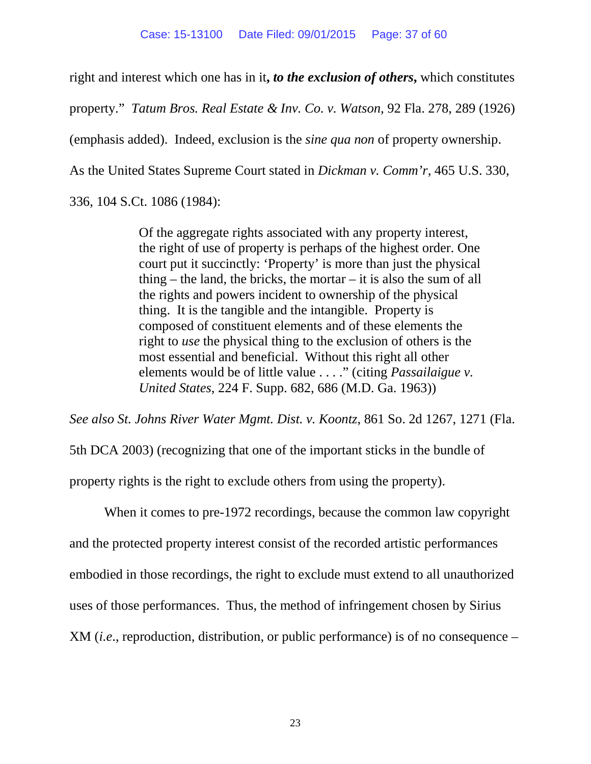right and interest which one has in it**,** *to the exclusion of others***,** which constitutes property." *Tatum Bros. Real Estate & Inv. Co. v. Watson*, 92 Fla. 278, 289 (1926) (emphasis added). Indeed, exclusion is the *sine qua non* of property ownership. As the United States Supreme Court stated in *Dickman v. Comm'r*, 465 U.S. 330, 336, 104 S.Ct. 1086 (1984):

> Of the aggregate rights associated with any property interest, the right of use of property is perhaps of the highest order. One court put it succinctly: 'Property' is more than just the physical thing – the land, the bricks, the mortar – it is also the sum of all the rights and powers incident to ownership of the physical thing. It is the tangible and the intangible. Property is composed of constituent elements and of these elements the right to *use* the physical thing to the exclusion of others is the most essential and beneficial. Without this right all other elements would be of little value . . . ." (citing *Passailaigue v. United States*, 224 F. Supp. 682, 686 (M.D. Ga. 1963))

*See also St. Johns River Water Mgmt. Dist. v. Koontz*, 861 So. 2d 1267, 1271 (Fla. 5th DCA 2003) (recognizing that one of the important sticks in the bundle of property rights is the right to exclude others from using the property).

When it comes to pre-1972 recordings, because the common law copyright and the protected property interest consist of the recorded artistic performances embodied in those recordings, the right to exclude must extend to all unauthorized uses of those performances. Thus, the method of infringement chosen by Sirius XM (*i.e*., reproduction, distribution, or public performance) is of no consequence –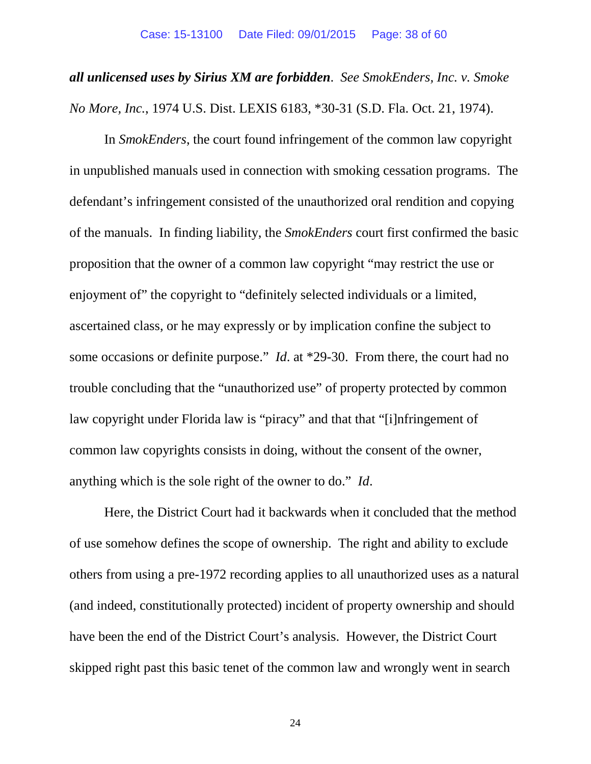# *all unlicensed uses by Sirius XM are forbidden*. *See SmokEnders, Inc. v. Smoke No More, Inc.*, 1974 U.S. Dist. LEXIS 6183, \*30-31 (S.D. Fla. Oct. 21, 1974).

In *SmokEnders*, the court found infringement of the common law copyright in unpublished manuals used in connection with smoking cessation programs. The defendant's infringement consisted of the unauthorized oral rendition and copying of the manuals. In finding liability, the *SmokEnders* court first confirmed the basic proposition that the owner of a common law copyright "may restrict the use or enjoyment of" the copyright to "definitely selected individuals or a limited, ascertained class, or he may expressly or by implication confine the subject to some occasions or definite purpose." *Id*. at \*29-30. From there, the court had no trouble concluding that the "unauthorized use" of property protected by common law copyright under Florida law is "piracy" and that that "[i]nfringement of common law copyrights consists in doing, without the consent of the owner, anything which is the sole right of the owner to do." *Id*.

Here, the District Court had it backwards when it concluded that the method of use somehow defines the scope of ownership. The right and ability to exclude others from using a pre-1972 recording applies to all unauthorized uses as a natural (and indeed, constitutionally protected) incident of property ownership and should have been the end of the District Court's analysis. However, the District Court skipped right past this basic tenet of the common law and wrongly went in search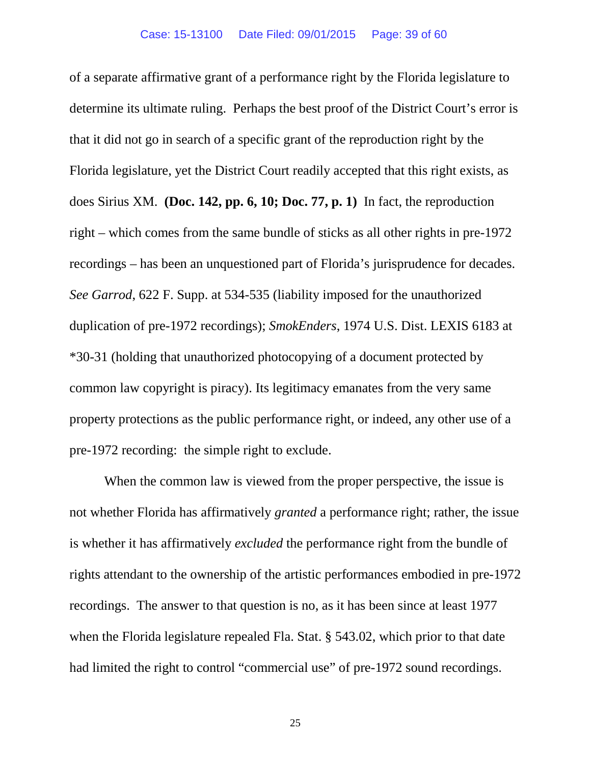of a separate affirmative grant of a performance right by the Florida legislature to determine its ultimate ruling. Perhaps the best proof of the District Court's error is that it did not go in search of a specific grant of the reproduction right by the Florida legislature, yet the District Court readily accepted that this right exists, as does Sirius XM. **(Doc. 142, pp. 6, 10; Doc. 77, p. 1)** In fact, the reproduction right – which comes from the same bundle of sticks as all other rights in pre-1972 recordings – has been an unquestioned part of Florida's jurisprudence for decades. *See Garrod*, 622 F. Supp. at 534-535 (liability imposed for the unauthorized duplication of pre-1972 recordings); *SmokEnders*, 1974 U.S. Dist. LEXIS 6183 at \*30-31 (holding that unauthorized photocopying of a document protected by common law copyright is piracy). Its legitimacy emanates from the very same property protections as the public performance right, or indeed, any other use of a pre-1972 recording: the simple right to exclude.

When the common law is viewed from the proper perspective, the issue is not whether Florida has affirmatively *granted* a performance right; rather, the issue is whether it has affirmatively *excluded* the performance right from the bundle of rights attendant to the ownership of the artistic performances embodied in pre-1972 recordings. The answer to that question is no, as it has been since at least 1977 when the Florida legislature repealed Fla. Stat. § 543.02, which prior to that date had limited the right to control "commercial use" of pre-1972 sound recordings.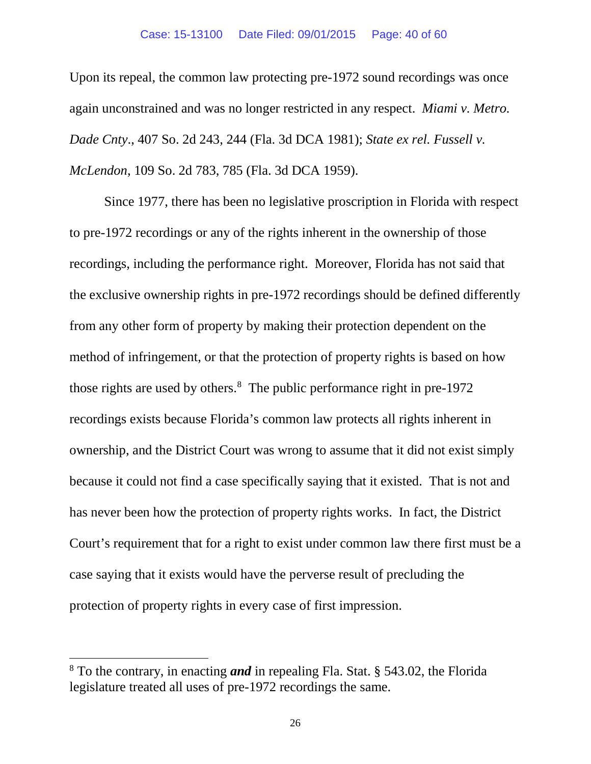Upon its repeal, the common law protecting pre-1972 sound recordings was once again unconstrained and was no longer restricted in any respect. *Miami v. Metro. Dade Cnty*., 407 So. 2d 243, 244 (Fla. 3d DCA 1981); *State ex rel. Fussell v. McLendon*, 109 So. 2d 783, 785 (Fla. 3d DCA 1959).

Since 1977, there has been no legislative proscription in Florida with respect to pre-1972 recordings or any of the rights inherent in the ownership of those recordings, including the performance right. Moreover, Florida has not said that the exclusive ownership rights in pre-1972 recordings should be defined differently from any other form of property by making their protection dependent on the method of infringement, or that the protection of property rights is based on how those rights are used by others. [8](#page-39-0) The public performance right in pre-1972 recordings exists because Florida's common law protects all rights inherent in ownership, and the District Court was wrong to assume that it did not exist simply because it could not find a case specifically saying that it existed. That is not and has never been how the protection of property rights works. In fact, the District Court's requirement that for a right to exist under common law there first must be a case saying that it exists would have the perverse result of precluding the protection of property rights in every case of first impression.

 $\overline{a}$ 

<span id="page-39-0"></span><sup>8</sup> To the contrary, in enacting *and* in repealing Fla. Stat. § 543.02, the Florida legislature treated all uses of pre-1972 recordings the same.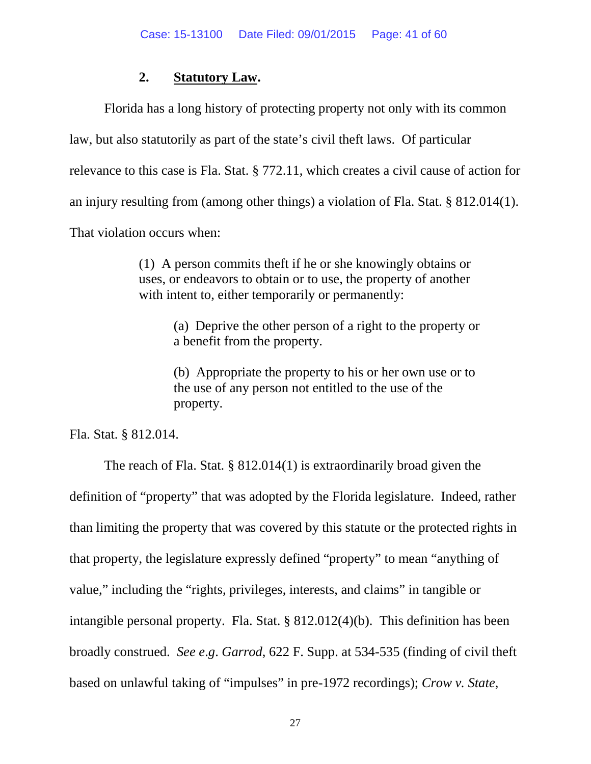#### **2. Statutory Law.**

Florida has a long history of protecting property not only with its common law, but also statutorily as part of the state's civil theft laws. Of particular relevance to this case is Fla. Stat. § 772.11, which creates a civil cause of action for an injury resulting from (among other things) a violation of Fla. Stat. § 812.014(1). That violation occurs when:

> (1) A person commits theft if he or she knowingly obtains or uses, or endeavors to obtain or to use, the property of another with intent to, either temporarily or permanently:

> > (a) Deprive the other person of a right to the property or a benefit from the property.

(b) Appropriate the property to his or her own use or to the use of any person not entitled to the use of the property.

Fla. Stat. § 812.014.

The reach of Fla. Stat. § 812.014(1) is extraordinarily broad given the definition of "property" that was adopted by the Florida legislature. Indeed, rather than limiting the property that was covered by this statute or the protected rights in that property, the legislature expressly defined "property" to mean "anything of value," including the "rights, privileges, interests, and claims" in tangible or intangible personal property. Fla. Stat. § 812.012(4)(b). This definition has been broadly construed. *See e*.*g*. *Garrod*, 622 F. Supp. at 534-535 (finding of civil theft based on unlawful taking of "impulses" in pre-1972 recordings); *Crow v. State*,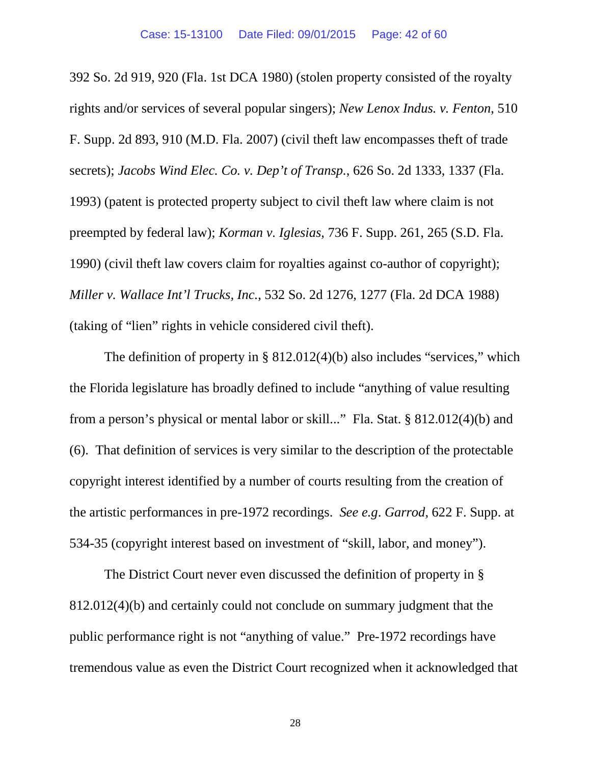392 So. 2d 919, 920 (Fla. 1st DCA 1980) (stolen property consisted of the royalty rights and/or services of several popular singers); *New Lenox Indus. v. Fenton*, 510 F. Supp. 2d 893, 910 (M.D. Fla. 2007) (civil theft law encompasses theft of trade secrets); *Jacobs Wind Elec. Co. v. Dep't of Transp.*, 626 So. 2d 1333, 1337 (Fla. 1993) (patent is protected property subject to civil theft law where claim is not preempted by federal law); *Korman v. Iglesias*, 736 F. Supp. 261, 265 (S.D. Fla. 1990) (civil theft law covers claim for royalties against co-author of copyright); *Miller v. Wallace Int'l Trucks, Inc.*, 532 So. 2d 1276, 1277 (Fla. 2d DCA 1988) (taking of "lien" rights in vehicle considered civil theft).

The definition of property in §  $812.012(4)(b)$  also includes "services," which the Florida legislature has broadly defined to include "anything of value resulting from a person's physical or mental labor or skill..." Fla. Stat. § 812.012(4)(b) and (6). That definition of services is very similar to the description of the protectable copyright interest identified by a number of courts resulting from the creation of the artistic performances in pre-1972 recordings. *See e.g*. *Garrod*, 622 F. Supp. at 534-35 (copyright interest based on investment of "skill, labor, and money").

The District Court never even discussed the definition of property in § 812.012(4)(b) and certainly could not conclude on summary judgment that the public performance right is not "anything of value." Pre-1972 recordings have tremendous value as even the District Court recognized when it acknowledged that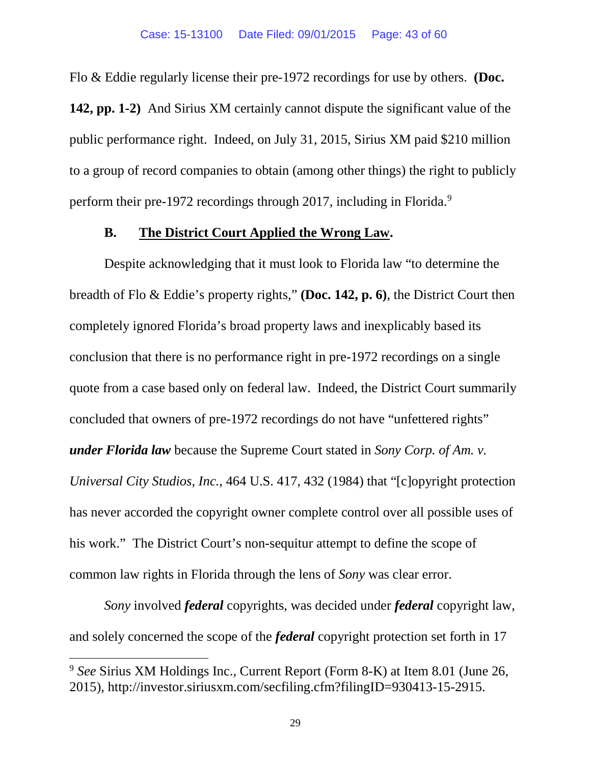Flo & Eddie regularly license their pre-1972 recordings for use by others. **(Doc.**

**142, pp. 1-2)** And Sirius XM certainly cannot dispute the significant value of the public performance right. Indeed, on July 31, 2015, Sirius XM paid \$210 million to a group of record companies to obtain (among other things) the right to publicly perform their pre-1[9](#page-42-0)72 recordings through 2017, including in Florida.<sup>9</sup>

#### **B. The District Court Applied the Wrong Law.**

Despite acknowledging that it must look to Florida law "to determine the breadth of Flo & Eddie's property rights," **(Doc. 142, p. 6)**, the District Court then completely ignored Florida's broad property laws and inexplicably based its conclusion that there is no performance right in pre-1972 recordings on a single quote from a case based only on federal law. Indeed, the District Court summarily concluded that owners of pre-1972 recordings do not have "unfettered rights" *under Florida law* because the Supreme Court stated in *Sony Corp. of Am. v. Universal City Studios, Inc.*, 464 U.S. 417, 432 (1984) that "[c]opyright protection has never accorded the copyright owner complete control over all possible uses of his work." The District Court's non-sequitur attempt to define the scope of common law rights in Florida through the lens of *Sony* was clear error.

*Sony* involved *federal* copyrights, was decided under *federal* copyright law, and solely concerned the scope of the *federal* copyright protection set forth in 17

 $\overline{a}$ 

<span id="page-42-0"></span><sup>9</sup> *See* Sirius XM Holdings Inc., Current Report (Form 8-K) at Item 8.01 (June 26, 2015), http://investor.siriusxm.com/secfiling.cfm?filingID=930413-15-2915.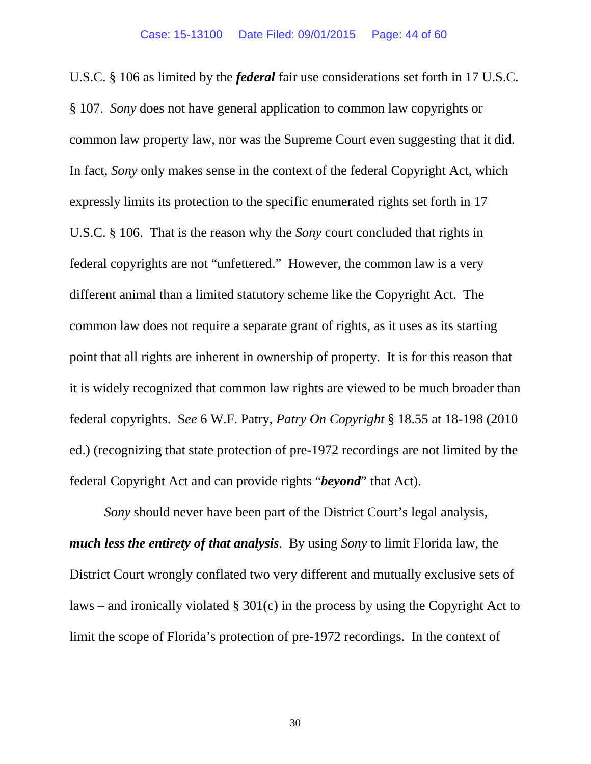U.S.C. § 106 as limited by the *federal* fair use considerations set forth in 17 U.S.C. § 107. *Sony* does not have general application to common law copyrights or common law property law, nor was the Supreme Court even suggesting that it did. In fact, *Sony* only makes sense in the context of the federal Copyright Act, which expressly limits its protection to the specific enumerated rights set forth in 17 U.S.C. § 106. That is the reason why the *Sony* court concluded that rights in federal copyrights are not "unfettered." However, the common law is a very different animal than a limited statutory scheme like the Copyright Act. The common law does not require a separate grant of rights, as it uses as its starting point that all rights are inherent in ownership of property. It is for this reason that it is widely recognized that common law rights are viewed to be much broader than federal copyrights. S*ee* 6 W.F. Patry, *Patry On Copyright* § 18.55 at 18-198 (2010 ed.) (recognizing that state protection of pre-1972 recordings are not limited by the federal Copyright Act and can provide rights "*beyond*" that Act).

*Sony* should never have been part of the District Court's legal analysis, *much less the entirety of that analysis*. By using *Sony* to limit Florida law, the District Court wrongly conflated two very different and mutually exclusive sets of laws – and ironically violated  $\S 301(c)$  in the process by using the Copyright Act to limit the scope of Florida's protection of pre-1972 recordings. In the context of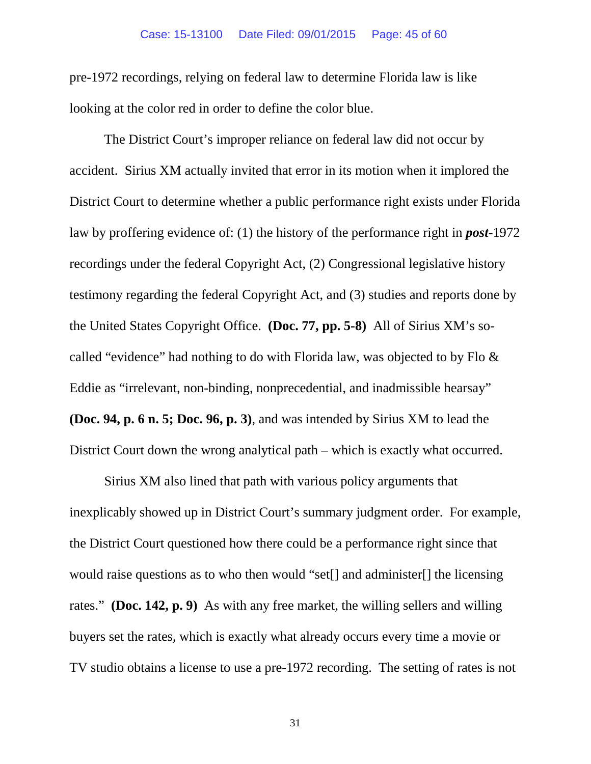#### Case: 15-13100 Date Filed: 09/01/2015 Page: 45 of 60

pre-1972 recordings, relying on federal law to determine Florida law is like looking at the color red in order to define the color blue.

The District Court's improper reliance on federal law did not occur by accident. Sirius XM actually invited that error in its motion when it implored the District Court to determine whether a public performance right exists under Florida law by proffering evidence of: (1) the history of the performance right in *post*-1972 recordings under the federal Copyright Act, (2) Congressional legislative history testimony regarding the federal Copyright Act, and (3) studies and reports done by the United States Copyright Office. **(Doc. 77, pp. 5-8)** All of Sirius XM's socalled "evidence" had nothing to do with Florida law, was objected to by Flo & Eddie as "irrelevant, non-binding, nonprecedential, and inadmissible hearsay" **(Doc. 94, p. 6 n. 5; Doc. 96, p. 3)**, and was intended by Sirius XM to lead the District Court down the wrong analytical path – which is exactly what occurred.

Sirius XM also lined that path with various policy arguments that inexplicably showed up in District Court's summary judgment order. For example, the District Court questioned how there could be a performance right since that would raise questions as to who then would "set[] and administer[] the licensing rates." **(Doc. 142, p. 9)** As with any free market, the willing sellers and willing buyers set the rates, which is exactly what already occurs every time a movie or TV studio obtains a license to use a pre-1972 recording. The setting of rates is not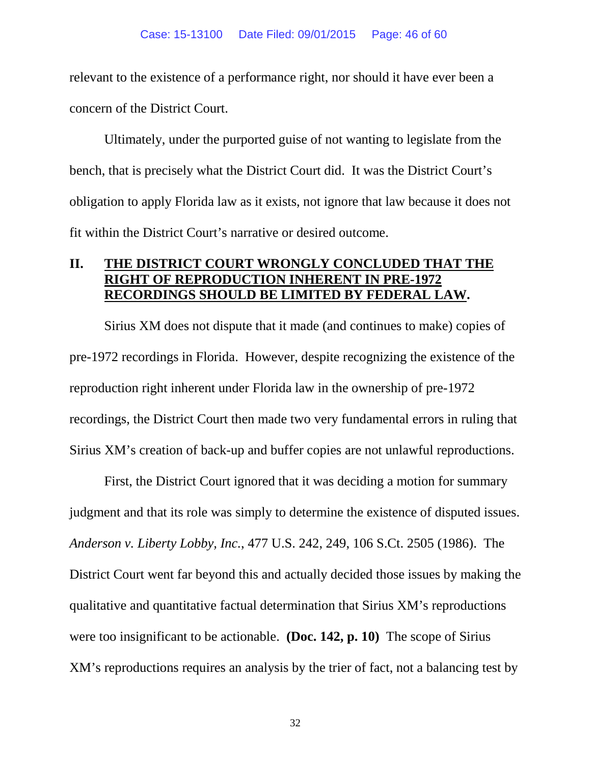relevant to the existence of a performance right, nor should it have ever been a concern of the District Court.

Ultimately, under the purported guise of not wanting to legislate from the bench, that is precisely what the District Court did. It was the District Court's obligation to apply Florida law as it exists, not ignore that law because it does not fit within the District Court's narrative or desired outcome.

#### **II. THE DISTRICT COURT WRONGLY CONCLUDED THAT THE RIGHT OF REPRODUCTION INHERENT IN PRE-1972 RECORDINGS SHOULD BE LIMITED BY FEDERAL LAW.**

Sirius XM does not dispute that it made (and continues to make) copies of pre-1972 recordings in Florida. However, despite recognizing the existence of the reproduction right inherent under Florida law in the ownership of pre-1972 recordings, the District Court then made two very fundamental errors in ruling that Sirius XM's creation of back-up and buffer copies are not unlawful reproductions.

First, the District Court ignored that it was deciding a motion for summary judgment and that its role was simply to determine the existence of disputed issues. *Anderson v. Liberty Lobby, Inc.*, 477 U.S. 242, 249, 106 S.Ct. 2505 (1986). The District Court went far beyond this and actually decided those issues by making the qualitative and quantitative factual determination that Sirius XM's reproductions were too insignificant to be actionable. **(Doc. 142, p. 10)** The scope of Sirius XM's reproductions requires an analysis by the trier of fact, not a balancing test by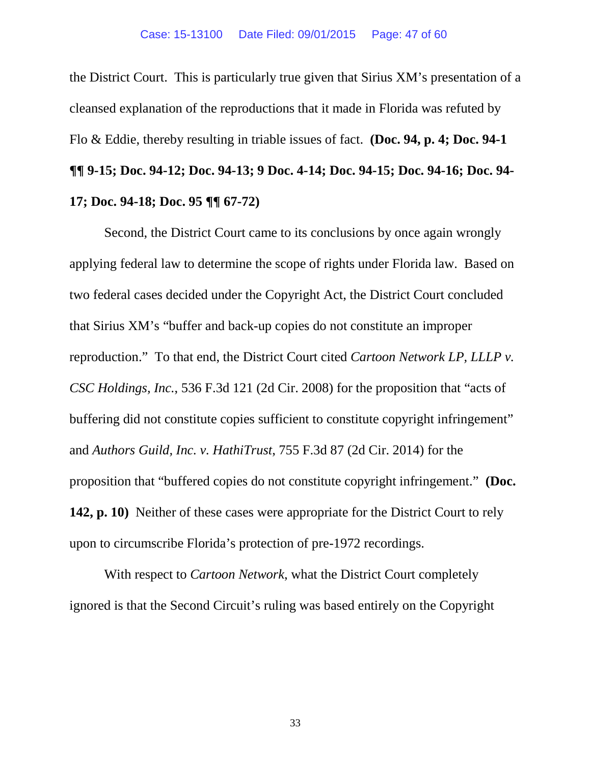the District Court. This is particularly true given that Sirius XM's presentation of a cleansed explanation of the reproductions that it made in Florida was refuted by Flo & Eddie, thereby resulting in triable issues of fact. **(Doc. 94, p. 4; Doc. 94-1 ¶¶ 9-15; Doc. 94-12; Doc. 94-13; 9 Doc. 4-14; Doc. 94-15; Doc. 94-16; Doc. 94- 17; Doc. 94-18; Doc. 95 ¶¶ 67-72)**

Second, the District Court came to its conclusions by once again wrongly applying federal law to determine the scope of rights under Florida law. Based on two federal cases decided under the Copyright Act, the District Court concluded that Sirius XM's "buffer and back-up copies do not constitute an improper reproduction." To that end, the District Court cited *Cartoon Network LP, LLLP v. CSC Holdings, Inc.*, 536 F.3d 121 (2d Cir. 2008) for the proposition that "acts of buffering did not constitute copies sufficient to constitute copyright infringement" and *Authors Guild, Inc. v. HathiTrust*, 755 F.3d 87 (2d Cir. 2014) for the proposition that "buffered copies do not constitute copyright infringement." **(Doc. 142, p. 10)** Neither of these cases were appropriate for the District Court to rely upon to circumscribe Florida's protection of pre-1972 recordings.

With respect to *Cartoon Network*, what the District Court completely ignored is that the Second Circuit's ruling was based entirely on the Copyright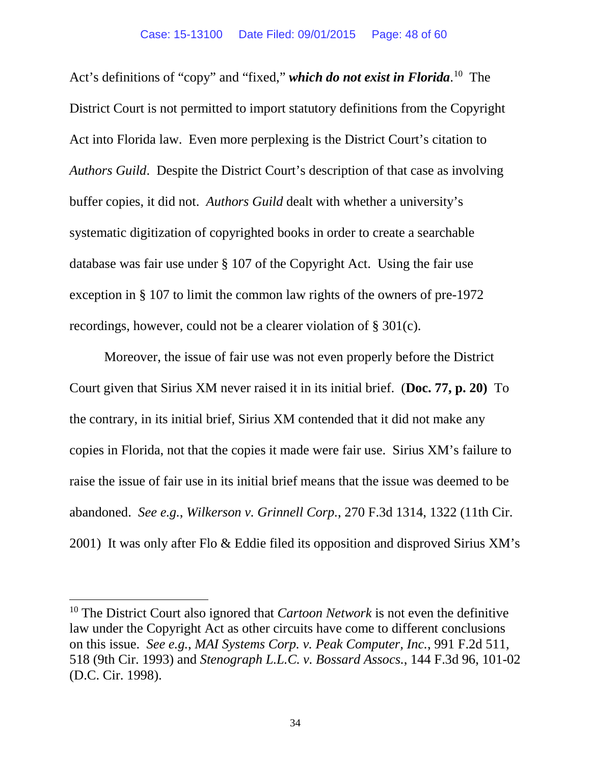Act's definitions of "copy" and "fixed," *which do not exist in Florida*. [10](#page-47-0) The District Court is not permitted to import statutory definitions from the Copyright Act into Florida law. Even more perplexing is the District Court's citation to *Authors Guild*. Despite the District Court's description of that case as involving buffer copies, it did not. *Authors Guild* dealt with whether a university's systematic digitization of copyrighted books in order to create a searchable database was fair use under § 107 of the Copyright Act. Using the fair use exception in § 107 to limit the common law rights of the owners of pre-1972 recordings, however, could not be a clearer violation of § 301(c).

Moreover, the issue of fair use was not even properly before the District Court given that Sirius XM never raised it in its initial brief. (**Doc. 77, p. 20)** To the contrary, in its initial brief, Sirius XM contended that it did not make any copies in Florida, not that the copies it made were fair use. Sirius XM's failure to raise the issue of fair use in its initial brief means that the issue was deemed to be abandoned. *See e.g.*, *Wilkerson v. Grinnell Corp.*, 270 F.3d 1314, 1322 (11th Cir. 2001) It was only after Flo & Eddie filed its opposition and disproved Sirius XM's

l

<span id="page-47-0"></span><sup>10</sup> The District Court also ignored that *Cartoon Network* is not even the definitive law under the Copyright Act as other circuits have come to different conclusions on this issue. *See e.g.*, *MAI Systems Corp. v. Peak Computer, Inc.*, 991 F.2d 511, 518 (9th Cir. 1993) and *Stenograph L.L.C. v. Bossard Assocs.*, 144 F.3d 96, 101-02 (D.C. Cir. 1998).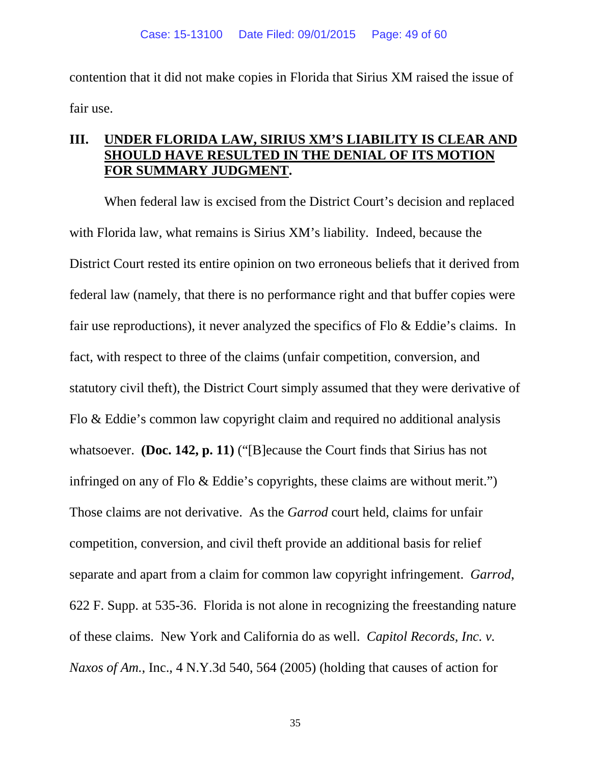contention that it did not make copies in Florida that Sirius XM raised the issue of fair use.

#### **III. UNDER FLORIDA LAW, SIRIUS XM'S LIABILITY IS CLEAR AND SHOULD HAVE RESULTED IN THE DENIAL OF ITS MOTION FOR SUMMARY JUDGMENT.**

When federal law is excised from the District Court's decision and replaced with Florida law, what remains is Sirius XM's liability. Indeed, because the District Court rested its entire opinion on two erroneous beliefs that it derived from federal law (namely, that there is no performance right and that buffer copies were fair use reproductions), it never analyzed the specifics of Flo & Eddie's claims. In fact, with respect to three of the claims (unfair competition, conversion, and statutory civil theft), the District Court simply assumed that they were derivative of Flo & Eddie's common law copyright claim and required no additional analysis whatsoever. **(Doc. 142, p. 11)** ("[B]ecause the Court finds that Sirius has not infringed on any of Flo & Eddie's copyrights, these claims are without merit.") Those claims are not derivative. As the *Garrod* court held, claims for unfair competition, conversion, and civil theft provide an additional basis for relief separate and apart from a claim for common law copyright infringement. *Garrod*, 622 F. Supp. at 535-36. Florida is not alone in recognizing the freestanding nature of these claims. New York and California do as well. *Capitol Records, Inc. v. Naxos of Am.*, Inc., 4 N.Y.3d 540, 564 (2005) (holding that causes of action for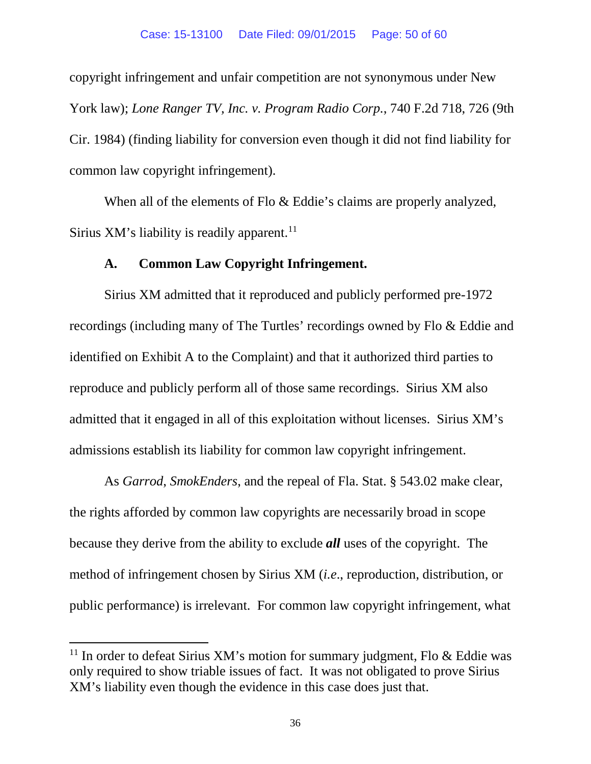copyright infringement and unfair competition are not synonymous under New York law); *Lone Ranger TV, Inc. v. Program Radio Corp.*, 740 F.2d 718, 726 (9th Cir. 1984) (finding liability for conversion even though it did not find liability for common law copyright infringement).

When all of the elements of Flo & Eddie's claims are properly analyzed, Sirius XM's liability is readily apparent.<sup>[11](#page-49-0)</sup>

#### **A. Common Law Copyright Infringement.**

Sirius XM admitted that it reproduced and publicly performed pre-1972 recordings (including many of The Turtles' recordings owned by Flo & Eddie and identified on Exhibit A to the Complaint) and that it authorized third parties to reproduce and publicly perform all of those same recordings. Sirius XM also admitted that it engaged in all of this exploitation without licenses. Sirius XM's admissions establish its liability for common law copyright infringement.

As *Garrod*, *SmokEnders*, and the repeal of Fla. Stat. § 543.02 make clear, the rights afforded by common law copyrights are necessarily broad in scope because they derive from the ability to exclude *all* uses of the copyright. The method of infringement chosen by Sirius XM (*i.e*., reproduction, distribution, or public performance) is irrelevant. For common law copyright infringement, what

 $\overline{a}$ 

<span id="page-49-0"></span><sup>&</sup>lt;sup>11</sup> In order to defeat Sirius XM's motion for summary judgment, Flo & Eddie was only required to show triable issues of fact. It was not obligated to prove Sirius XM's liability even though the evidence in this case does just that.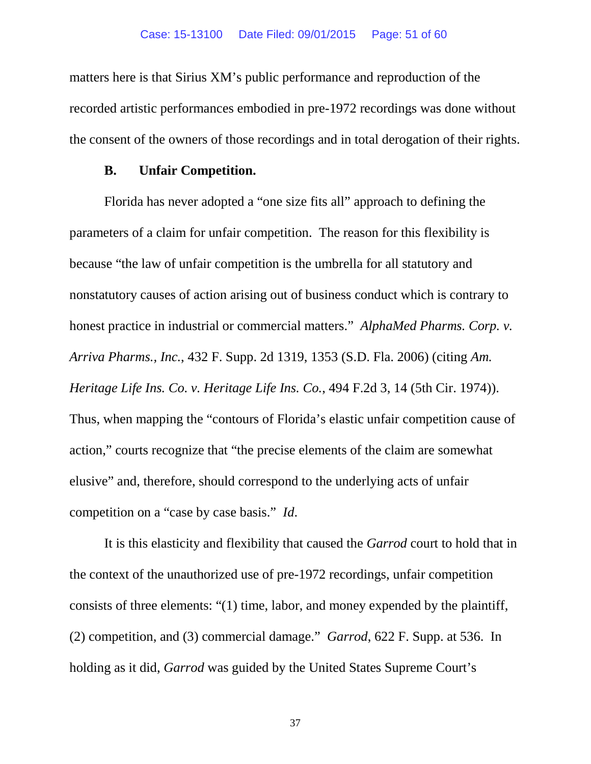matters here is that Sirius XM's public performance and reproduction of the recorded artistic performances embodied in pre-1972 recordings was done without the consent of the owners of those recordings and in total derogation of their rights.

#### **B. Unfair Competition.**

Florida has never adopted a "one size fits all" approach to defining the parameters of a claim for unfair competition. The reason for this flexibility is because "the law of unfair competition is the umbrella for all statutory and nonstatutory causes of action arising out of business conduct which is contrary to honest practice in industrial or commercial matters." *AlphaMed Pharms. Corp. v. Arriva Pharms., Inc.*, 432 F. Supp. 2d 1319, 1353 (S.D. Fla. 2006) (citing *Am. Heritage Life Ins. Co. v. Heritage Life Ins. Co.*, 494 F.2d 3, 14 (5th Cir. 1974)). Thus, when mapping the "contours of Florida's elastic unfair competition cause of action," courts recognize that "the precise elements of the claim are somewhat elusive" and, therefore, should correspond to the underlying acts of unfair competition on a "case by case basis." *Id*.

It is this elasticity and flexibility that caused the *Garrod* court to hold that in the context of the unauthorized use of pre-1972 recordings, unfair competition consists of three elements: "(1) time, labor, and money expended by the plaintiff, (2) competition, and (3) commercial damage." *Garrod*, 622 F. Supp. at 536. In holding as it did, *Garrod* was guided by the United States Supreme Court's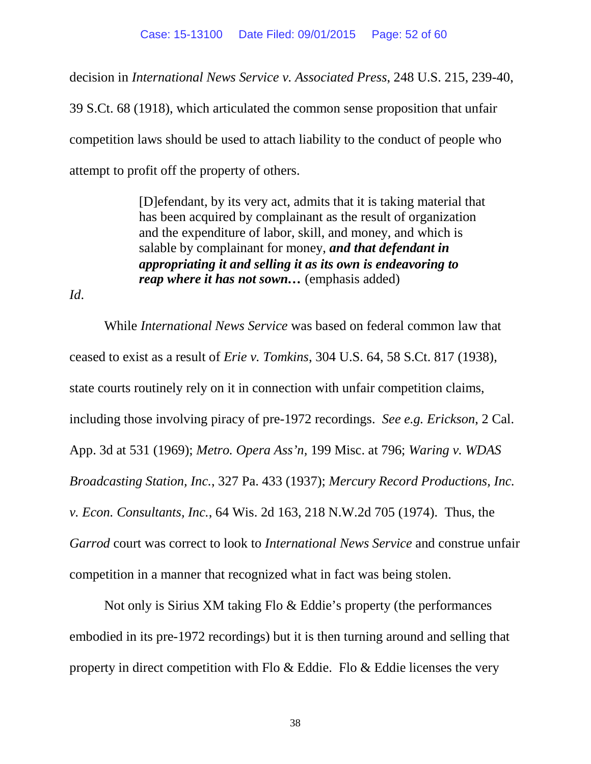decision in *International News Service v. Associated Press*, 248 U.S. 215, 239-40,

39 S.Ct. 68 (1918), which articulated the common sense proposition that unfair competition laws should be used to attach liability to the conduct of people who attempt to profit off the property of others.

> [D]efendant, by its very act, admits that it is taking material that has been acquired by complainant as the result of organization and the expenditure of labor, skill, and money, and which is salable by complainant for money, *and that defendant in appropriating it and selling it as its own is endeavoring to reap where it has not sown…* (emphasis added)

*Id*.

While *International News Service* was based on federal common law that ceased to exist as a result of *Erie v. Tomkins*, 304 U.S. 64, 58 S.Ct. 817 (1938), state courts routinely rely on it in connection with unfair competition claims, including those involving piracy of pre-1972 recordings. *See e.g. Erickson*, 2 Cal. App. 3d at 531 (1969); *Metro. Opera Ass'n,* 199 Misc. at 796; *Waring v. WDAS Broadcasting Station, Inc.*, 327 Pa. 433 (1937); *Mercury Record Productions, Inc. v. Econ. Consultants, Inc.*, 64 Wis. 2d 163, 218 N.W.2d 705 (1974). Thus, the *Garrod* court was correct to look to *International News Service* and construe unfair competition in a manner that recognized what in fact was being stolen.

Not only is Sirius XM taking Flo & Eddie's property (the performances embodied in its pre-1972 recordings) but it is then turning around and selling that property in direct competition with Flo & Eddie. Flo & Eddie licenses the very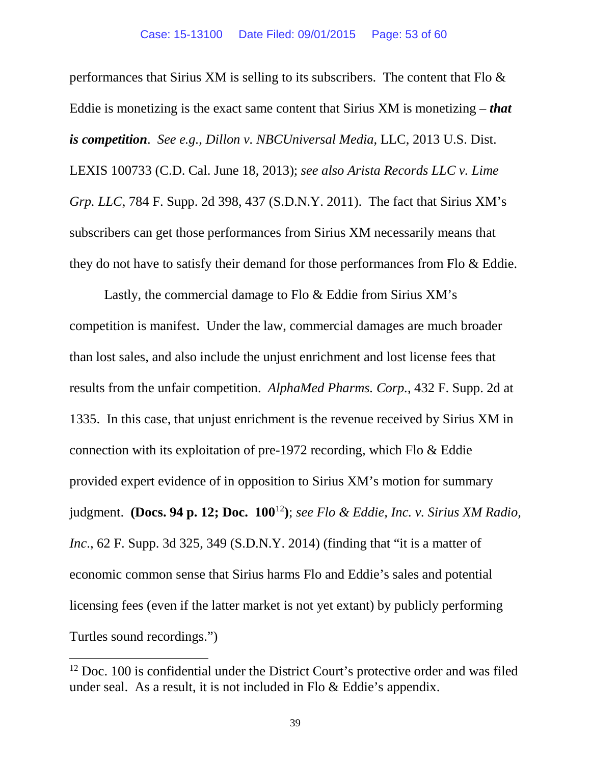performances that Sirius XM is selling to its subscribers. The content that Flo & Eddie is monetizing is the exact same content that Sirius XM is monetizing – *that is competition*. *See e.g.*, *Dillon v. NBCUniversal Media*, LLC, 2013 U.S. Dist. LEXIS 100733 (C.D. Cal. June 18, 2013); *see also Arista Records LLC v. Lime Grp. LLC*, 784 F. Supp. 2d 398, 437 (S.D.N.Y. 2011). The fact that Sirius XM's subscribers can get those performances from Sirius XM necessarily means that they do not have to satisfy their demand for those performances from Flo & Eddie.

Lastly, the commercial damage to Flo & Eddie from Sirius XM's competition is manifest. Under the law, commercial damages are much broader than lost sales, and also include the unjust enrichment and lost license fees that results from the unfair competition. *AlphaMed Pharms. Corp.*, 432 F. Supp. 2d at 1335. In this case, that unjust enrichment is the revenue received by Sirius XM in connection with its exploitation of pre-1972 recording, which Flo & Eddie provided expert evidence of in opposition to Sirius XM's motion for summary judgment. **(Docs. 94 p. 12; Doc. 100**[12](#page-52-0)**)**; *see Flo & Eddie, Inc. v. Sirius XM Radio, Inc*., 62 F. Supp. 3d 325, 349 (S.D.N.Y. 2014) (finding that "it is a matter of economic common sense that Sirius harms Flo and Eddie's sales and potential licensing fees (even if the latter market is not yet extant) by publicly performing Turtles sound recordings.")

 $\overline{a}$ 

<span id="page-52-0"></span><sup>&</sup>lt;sup>12</sup> Doc. 100 is confidential under the District Court's protective order and was filed under seal. As a result, it is not included in Flo & Eddie's appendix.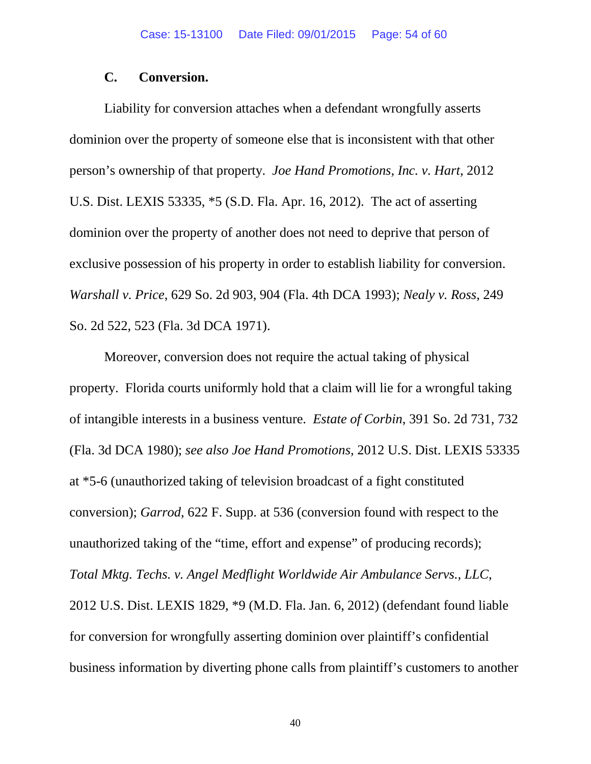#### **C. Conversion.**

Liability for conversion attaches when a defendant wrongfully asserts dominion over the property of someone else that is inconsistent with that other person's ownership of that property. *Joe Hand Promotions, Inc. v. Hart*, 2012 U.S. Dist. LEXIS 53335, \*5 (S.D. Fla. Apr. 16, 2012). The act of asserting dominion over the property of another does not need to deprive that person of exclusive possession of his property in order to establish liability for conversion. *Warshall v. Price*, 629 So. 2d 903, 904 (Fla. 4th DCA 1993); *Nealy v. Ross*, 249 So. 2d 522, 523 (Fla. 3d DCA 1971).

Moreover, conversion does not require the actual taking of physical property. Florida courts uniformly hold that a claim will lie for a wrongful taking of intangible interests in a business venture. *Estate of Corbin*, 391 So. 2d 731, 732 (Fla. 3d DCA 1980); *see also Joe Hand Promotions,* 2012 U.S. Dist. LEXIS 53335 at \*5-6 (unauthorized taking of television broadcast of a fight constituted conversion); *Garrod*, 622 F. Supp. at 536 (conversion found with respect to the unauthorized taking of the "time, effort and expense" of producing records); *Total Mktg. Techs. v. Angel Medflight Worldwide Air Ambulance Servs., LLC*, 2012 U.S. Dist. LEXIS 1829, \*9 (M.D. Fla. Jan. 6, 2012) (defendant found liable for conversion for wrongfully asserting dominion over plaintiff's confidential business information by diverting phone calls from plaintiff's customers to another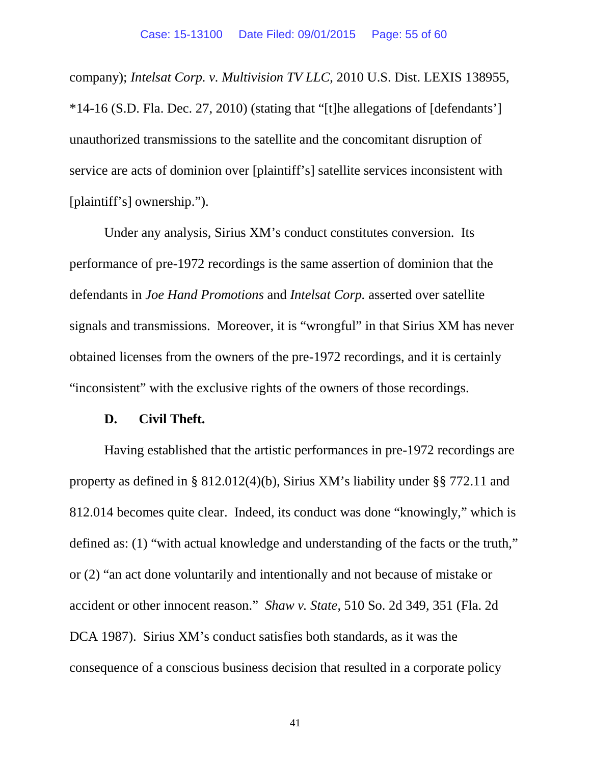company); *Intelsat Corp. v. Multivision TV LLC*, 2010 U.S. Dist. LEXIS 138955, \*14-16 (S.D. Fla. Dec. 27, 2010) (stating that "[t]he allegations of [defendants'] unauthorized transmissions to the satellite and the concomitant disruption of service are acts of dominion over [plaintiff's] satellite services inconsistent with [plaintiff's] ownership.").

Under any analysis, Sirius XM's conduct constitutes conversion. Its performance of pre-1972 recordings is the same assertion of dominion that the defendants in *Joe Hand Promotions* and *Intelsat Corp.* asserted over satellite signals and transmissions. Moreover, it is "wrongful" in that Sirius XM has never obtained licenses from the owners of the pre-1972 recordings, and it is certainly "inconsistent" with the exclusive rights of the owners of those recordings.

#### **D. Civil Theft.**

Having established that the artistic performances in pre-1972 recordings are property as defined in § 812.012(4)(b), Sirius XM's liability under §§ 772.11 and 812.014 becomes quite clear. Indeed, its conduct was done "knowingly," which is defined as: (1) "with actual knowledge and understanding of the facts or the truth," or (2) "an act done voluntarily and intentionally and not because of mistake or accident or other innocent reason." *Shaw v. State*, 510 So. 2d 349, 351 (Fla. 2d DCA 1987). Sirius XM's conduct satisfies both standards, as it was the consequence of a conscious business decision that resulted in a corporate policy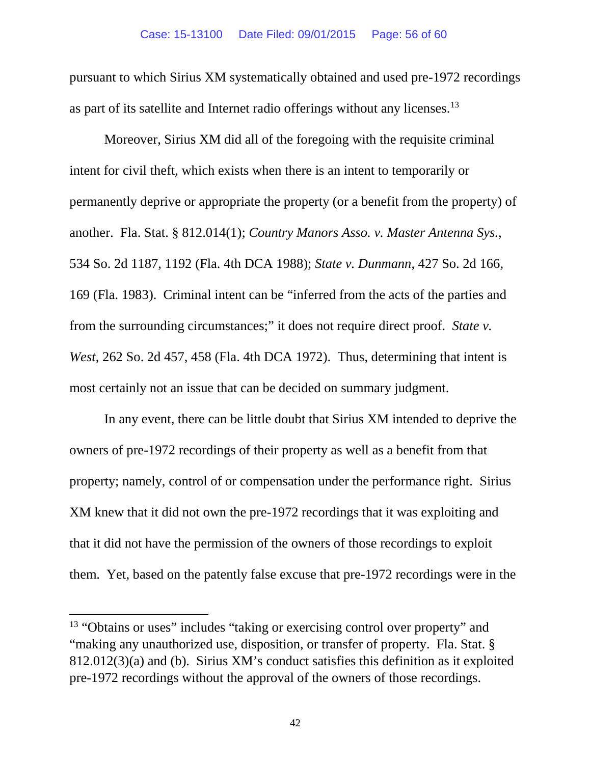pursuant to which Sirius XM systematically obtained and used pre-1972 recordings as part of its satellite and Internet radio offerings without any licenses.<sup>[13](#page-55-0)</sup>

Moreover, Sirius XM did all of the foregoing with the requisite criminal intent for civil theft, which exists when there is an intent to temporarily or permanently deprive or appropriate the property (or a benefit from the property) of another. Fla. Stat. § 812.014(1); *Country Manors Asso. v. Master Antenna Sys.*, 534 So. 2d 1187, 1192 (Fla. 4th DCA 1988); *State v. Dunmann*, 427 So. 2d 166, 169 (Fla. 1983). Criminal intent can be "inferred from the acts of the parties and from the surrounding circumstances;" it does not require direct proof. *State v. West*, 262 So. 2d 457, 458 (Fla. 4th DCA 1972). Thus, determining that intent is most certainly not an issue that can be decided on summary judgment.

In any event, there can be little doubt that Sirius XM intended to deprive the owners of pre-1972 recordings of their property as well as a benefit from that property; namely, control of or compensation under the performance right. Sirius XM knew that it did not own the pre-1972 recordings that it was exploiting and that it did not have the permission of the owners of those recordings to exploit them. Yet, based on the patently false excuse that pre-1972 recordings were in the

 $\overline{a}$ 

<span id="page-55-0"></span><sup>&</sup>lt;sup>13</sup> "Obtains or uses" includes "taking or exercising control over property" and "making any unauthorized use, disposition, or transfer of property. Fla. Stat. § 812.012(3)(a) and (b). Sirius XM's conduct satisfies this definition as it exploited pre-1972 recordings without the approval of the owners of those recordings.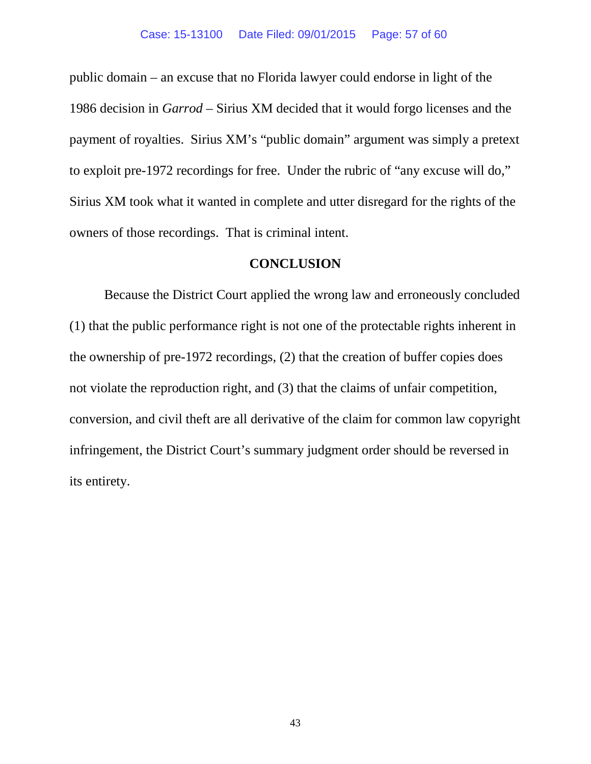public domain – an excuse that no Florida lawyer could endorse in light of the 1986 decision in *Garrod* – Sirius XM decided that it would forgo licenses and the payment of royalties. Sirius XM's "public domain" argument was simply a pretext to exploit pre-1972 recordings for free. Under the rubric of "any excuse will do," Sirius XM took what it wanted in complete and utter disregard for the rights of the owners of those recordings. That is criminal intent.

#### **CONCLUSION**

Because the District Court applied the wrong law and erroneously concluded (1) that the public performance right is not one of the protectable rights inherent in the ownership of pre-1972 recordings, (2) that the creation of buffer copies does not violate the reproduction right, and (3) that the claims of unfair competition, conversion, and civil theft are all derivative of the claim for common law copyright infringement, the District Court's summary judgment order should be reversed in its entirety.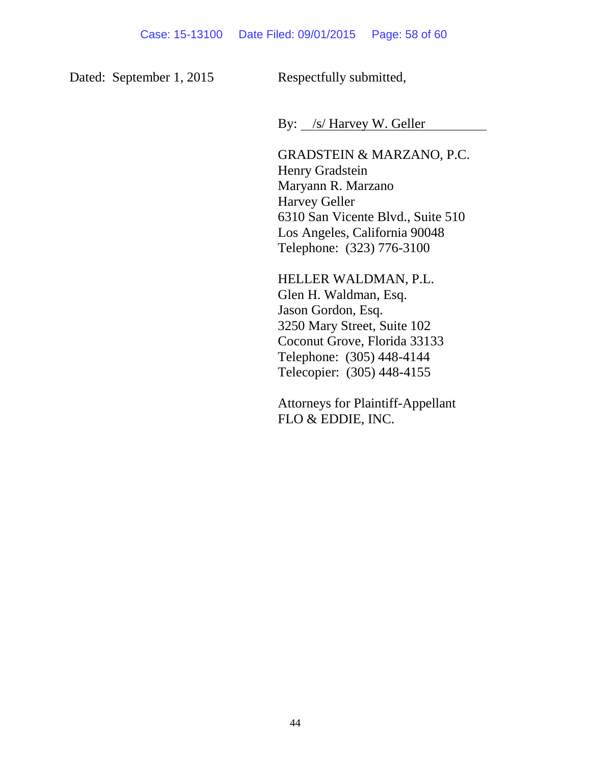Dated: September 1, 2015 Respectfully submitted,

By: /s/ Harvey W. Geller

GRADSTEIN & MARZANO, P.C. Henry Gradstein Maryann R. Marzano Harvey Geller 6310 San Vicente Blvd., Suite 510 Los Angeles, California 90048 Telephone: (323) 776-3100

HELLER WALDMAN, P.L. Glen H. Waldman, Esq. Jason Gordon, Esq. 3250 Mary Street, Suite 102 Coconut Grove, Florida 33133 Telephone: (305) 448-4144 Telecopier: (305) 448-4155

Attorneys for Plaintiff-Appellant FLO & EDDIE, INC.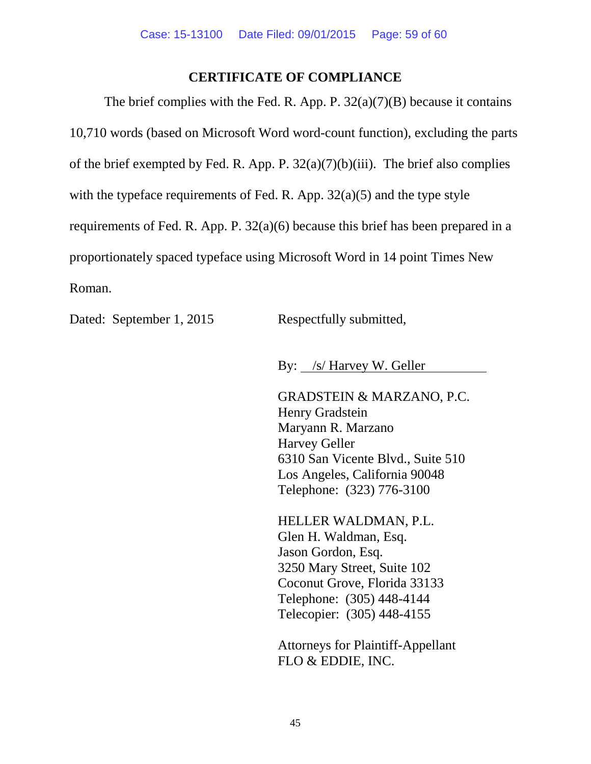#### **CERTIFICATE OF COMPLIANCE**

The brief complies with the Fed. R. App. P.  $32(a)(7)(B)$  because it contains 10,710 words (based on Microsoft Word word-count function), excluding the parts of the brief exempted by Fed. R. App. P.  $32(a)(7)(b)(iii)$ . The brief also complies with the typeface requirements of Fed. R. App.  $32(a)(5)$  and the type style requirements of Fed. R. App. P. 32(a)(6) because this brief has been prepared in a proportionately spaced typeface using Microsoft Word in 14 point Times New Roman.

Dated: September 1, 2015 Respectfully submitted,

By: /s/ Harvey W. Geller

GRADSTEIN & MARZANO, P.C. Henry Gradstein Maryann R. Marzano Harvey Geller 6310 San Vicente Blvd., Suite 510 Los Angeles, California 90048 Telephone: (323) 776-3100

HELLER WALDMAN, P.L. Glen H. Waldman, Esq. Jason Gordon, Esq. 3250 Mary Street, Suite 102 Coconut Grove, Florida 33133 Telephone: (305) 448-4144 Telecopier: (305) 448-4155

Attorneys for Plaintiff-Appellant FLO & EDDIE, INC.